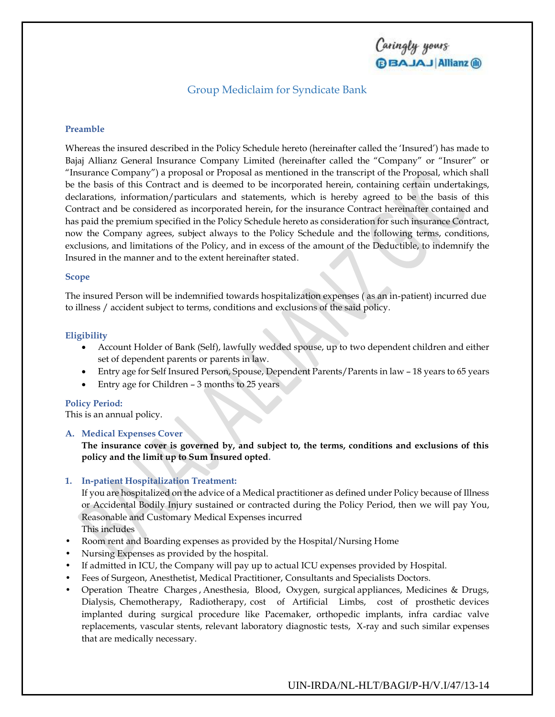Caringly yours **BBAJAJ Allianz** (ii)

## Group Mediclaim for Syndicate Bank

### **Preamble**

Whereas the insured described in the Policy Schedule hereto (hereinafter called the 'Insured') has made to Bajaj Allianz General Insurance Company Limited (hereinafter called the "Company" or "Insurer" or "Insurance Company") a proposal or Proposal as mentioned in the transcript of the Proposal, which shall be the basis of this Contract and is deemed to be incorporated herein, containing certain undertakings, declarations, information/particulars and statements, which is hereby agreed to be the basis of this Contract and be considered as incorporated herein, for the insurance Contract hereinafter contained and has paid the premium specified in the Policy Schedule hereto as consideration for such insurance Contract, now the Company agrees, subject always to the Policy Schedule and the following terms, conditions, exclusions, and limitations of the Policy, and in excess of the amount of the Deductible, to indemnify the Insured in the manner and to the extent hereinafter stated.

#### **Scope**

The insured Person will be indemnified towards hospitalization expenses ( as an in-patient) incurred due to illness / accident subject to terms, conditions and exclusions of the said policy.

#### **Eligibility**

- Account Holder of Bank (Self), lawfully wedded spouse, up to two dependent children and either set of dependent parents or parents in law.
- Entry age for Self Insured Person, Spouse, Dependent Parents/Parents in law 18 years to 65 years
- Entry age for Children 3 months to 25 years

#### **Policy Period:**

This is an annual policy.

#### **A. Medical Expenses Cover**

**The insurance cover is governed by, and subject to, the terms, conditions and exclusions of this policy and the limit up to Sum Insured opted.**

#### **1. In-patient Hospitalization Treatment:**

If you are hospitalized on the advice of a Medical practitioner as defined under Policy because of Illness or Accidental Bodily Injury sustained or contracted during the Policy Period, then we will pay You, Reasonable and Customary Medical Expenses incurred

This includes

- Room rent and Boarding expenses as provided by the Hospital/Nursing Home
- Nursing Expenses as provided by the hospital.
- If admitted in ICU, the Company will pay up to actual ICU expenses provided by Hospital.
- Fees of Surgeon, Anesthetist, Medical Practitioner, Consultants and Specialists Doctors.
- Operation Theatre Charges , Anesthesia, Blood, Oxygen, surgical appliances, Medicines & Drugs, Dialysis, Chemotherapy, Radiotherapy, cost of Artificial Limbs, cost of prosthetic devices implanted during surgical procedure like Pacemaker, orthopedic implants, infra cardiac valve replacements, vascular stents, relevant laboratory diagnostic tests, X-ray and such similar expenses that are medically necessary.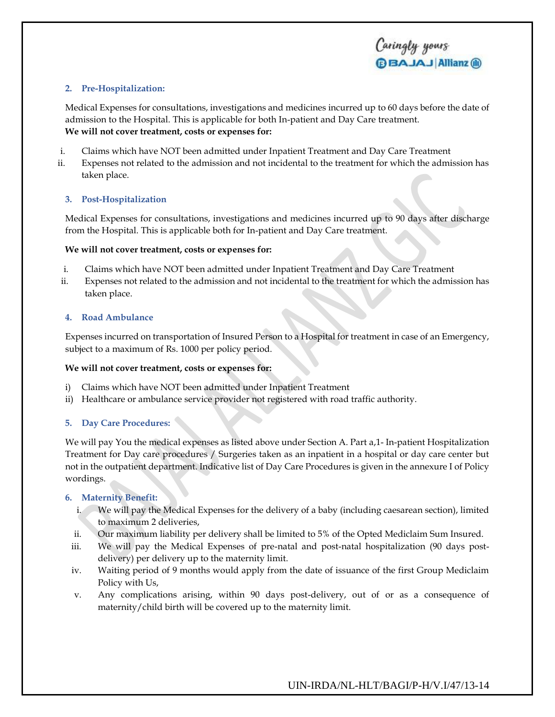## **2. Pre-Hospitalization:**

Medical Expenses for consultations, investigations and medicines incurred up to 60 days before the date of admission to the Hospital. This is applicable for both In-patient and Day Care treatment. **We will not cover treatment, costs or expenses for:**

- i. Claims which have NOT been admitted under Inpatient Treatment and Day Care Treatment
- ii. Expenses not related to the admission and not incidental to the treatment for which the admission has taken place.

## **3. Post-Hospitalization**

Medical Expenses for consultations, investigations and medicines incurred up to 90 days after discharge from the Hospital. This is applicable both for In-patient and Day Care treatment.

### **We will not cover treatment, costs or expenses for:**

- i. Claims which have NOT been admitted under Inpatient Treatment and Day Care Treatment
- ii. Expenses not related to the admission and not incidental to the treatment for which the admission has taken place.

#### **4. Road Ambulance**

Expenses incurred on transportation of Insured Person to a Hospital for treatment in case of an Emergency, subject to a maximum of Rs. 1000 per policy period.

### **We will not cover treatment, costs or expenses for:**

- i) Claims which have NOT been admitted under Inpatient Treatment
- ii) Healthcare or ambulance service provider not registered with road traffic authority.

### **5. Day Care Procedures:**

We will pay You the medical expenses as listed above under Section A. Part a,1- In-patient Hospitalization Treatment for Day care procedures / Surgeries taken as an inpatient in a hospital or day care center but not in the outpatient department. Indicative list of Day Care Procedures is given in the annexure I of Policy wordings.

### **6. Maternity Benefit:**

- i. We will pay the Medical Expenses for the delivery of a baby (including caesarean section), limited to maximum 2 deliveries,
- ii. Our maximum liability per delivery shall be limited to 5% of the Opted Mediclaim Sum Insured.
- iii. We will pay the Medical Expenses of pre-natal and post-natal hospitalization (90 days postdelivery) per delivery up to the maternity limit.
- iv. Waiting period of 9 months would apply from the date of issuance of the first Group Mediclaim Policy with Us,
- v. Any complications arising, within 90 days post-delivery, out of or as a consequence of maternity/child birth will be covered up to the maternity limit.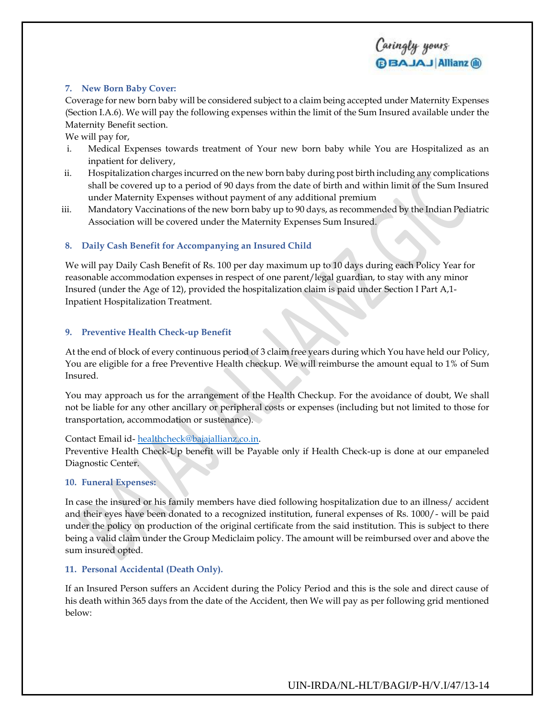## Caringly yours **BBAJAJ Allianz (ii)**

## **7. New Born Baby Cover:**

Coverage for new born baby will be considered subject to a claim being accepted under Maternity Expenses (Section I.A.6). We will pay the following expenses within the limit of the Sum Insured available under the Maternity Benefit section.

We will pay for,

- i. Medical Expenses towards treatment of Your new born baby while You are Hospitalized as an inpatient for delivery,
- ii. Hospitalization charges incurred on the new born baby during post birth including any complications shall be covered up to a period of 90 days from the date of birth and within limit of the Sum Insured under Maternity Expenses without payment of any additional premium
- iii. Mandatory Vaccinations of the new born baby up to 90 days, as recommended by the Indian Pediatric Association will be covered under the Maternity Expenses Sum Insured.

## **8. Daily Cash Benefit for Accompanying an Insured Child**

We will pay Daily Cash Benefit of Rs. 100 per day maximum up to 10 days during each Policy Year for reasonable accommodation expenses in respect of one parent/legal guardian, to stay with any minor Insured (under the Age of 12), provided the hospitalization claim is paid under Section I Part A,1- Inpatient Hospitalization Treatment.

### **9. Preventive Health Check-up Benefit**

At the end of block of every continuous period of 3 claim free years during which You have held our Policy, You are eligible for a free Preventive Health checkup. We will reimburse the amount equal to 1% of Sum Insured.

You may approach us for the arrangement of the Health Checkup. For the avoidance of doubt, We shall not be liable for any other ancillary or peripheral costs or expenses (including but not limited to those for transportation, accommodation or sustenance).

Contact Email id- [healthcheck@bajajallianz.co.in.](mailto:healthcheck@bajajallianz.co.in)

Preventive Health Check-Up benefit will be Payable only if Health Check-up is done at our empaneled Diagnostic Center.

### **10. Funeral Expenses:**

In case the insured or his family members have died following hospitalization due to an illness/ accident and their eyes have been donated to a recognized institution, funeral expenses of Rs. 1000/- will be paid under the policy on production of the original certificate from the said institution. This is subject to there being a valid claim under the Group Mediclaim policy. The amount will be reimbursed over and above the sum insured opted.

## **11. Personal Accidental (Death Only).**

If an Insured Person suffers an Accident during the Policy Period and this is the sole and direct cause of his death within 365 days from the date of the Accident, then We will pay as per following grid mentioned below: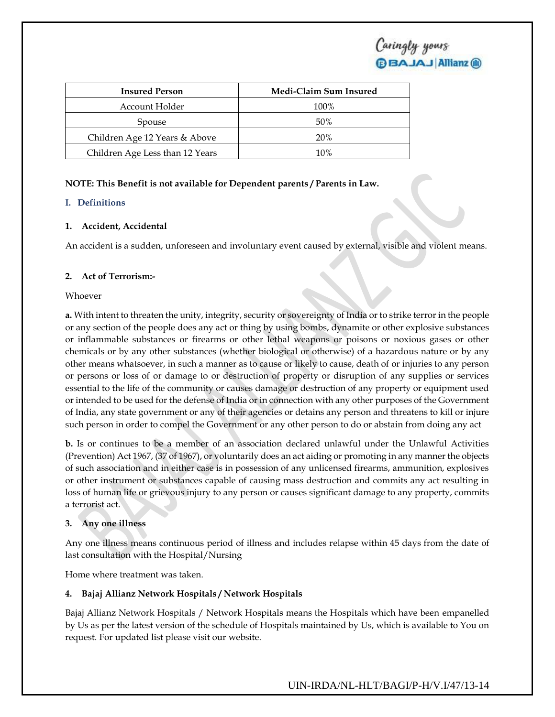| <b>Insured Person</b>           | Medi-Claim Sum Insured |
|---------------------------------|------------------------|
| Account Holder                  | 100%                   |
| Spouse                          | 50%                    |
| Children Age 12 Years & Above   | 20%                    |
| Children Age Less than 12 Years | 10%                    |

## **NOTE: This Benefit is not available for Dependent parents / Parents in Law.**

## **I. Definitions**

## **1. Accident, Accidental**

An accident is a sudden, unforeseen and involuntary event caused by external, visible and violent means.

## **2. Act of Terrorism:-**

### Whoever

**a.** With intent to threaten the unity, integrity, security or sovereignty of India or to strike terror in the people or any section of the people does any act or thing by using bombs, dynamite or other explosive substances or inflammable substances or firearms or other lethal weapons or poisons or noxious gases or other chemicals or by any other substances (whether biological or otherwise) of a hazardous nature or by any other means whatsoever, in such a manner as to cause or likely to cause, death of or injuries to any person or persons or loss of or damage to or destruction of property or disruption of any supplies or services essential to the life of the community or causes damage or destruction of any property or equipment used or intended to be used for the defense of India or in connection with any other purposes of the Government of India, any state government or any of their agencies or detains any person and threatens to kill or injure such person in order to compel the Government or any other person to do or abstain from doing any act

**b.** Is or continues to be a member of an association declared unlawful under the Unlawful Activities (Prevention) Act 1967, (37 of 1967), or voluntarily does an act aiding or promoting in any manner the objects of such association and in either case is in possession of any unlicensed firearms, ammunition, explosives or other instrument or substances capable of causing mass destruction and commits any act resulting in loss of human life or grievous injury to any person or causes significant damage to any property, commits a terrorist act.

### **3. Any one illness**

Any one illness means continuous period of illness and includes relapse within 45 days from the date of last consultation with the Hospital/Nursing

Home where treatment was taken.

## **4. Bajaj Allianz Network Hospitals / Network Hospitals**

Bajaj Allianz Network Hospitals / Network Hospitals means the Hospitals which have been empanelled by Us as per the latest version of the schedule of Hospitals maintained by Us, which is available to You on request. For updated list please visit our website.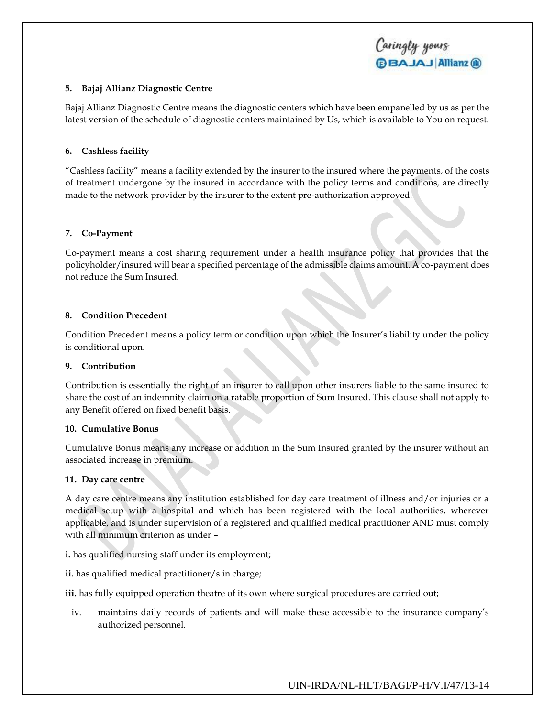### **5. Bajaj Allianz Diagnostic Centre**

Bajaj Allianz Diagnostic Centre means the diagnostic centers which have been empanelled by us as per the latest version of the schedule of diagnostic centers maintained by Us, which is available to You on request.

## **6. Cashless facility**

"Cashless facility" means a facility extended by the insurer to the insured where the payments, of the costs of treatment undergone by the insured in accordance with the policy terms and conditions, are directly made to the network provider by the insurer to the extent pre-authorization approved.

## **7. Co-Payment**

Co-payment means a cost sharing requirement under a health insurance policy that provides that the policyholder/insured will bear a specified percentage of the admissible claims amount. A co-payment does not reduce the Sum Insured.

## **8. Condition Precedent**

Condition Precedent means a policy term or condition upon which the Insurer's liability under the policy is conditional upon.

### **9. Contribution**

Contribution is essentially the right of an insurer to call upon other insurers liable to the same insured to share the cost of an indemnity claim on a ratable proportion of Sum Insured. This clause shall not apply to any Benefit offered on fixed benefit basis.

### **10. Cumulative Bonus**

Cumulative Bonus means any increase or addition in the Sum Insured granted by the insurer without an associated increase in premium.

### **11. Day care centre**

A day care centre means any institution established for day care treatment of illness and/or injuries or a medical setup with a hospital and which has been registered with the local authorities, wherever applicable, and is under supervision of a registered and qualified medical practitioner AND must comply with all minimum criterion as under –

**i.** has qualified nursing staff under its employment;

**ii.** has qualified medical practitioner/s in charge;

**iii.** has fully equipped operation theatre of its own where surgical procedures are carried out;

iv. maintains daily records of patients and will make these accessible to the insurance company's authorized personnel.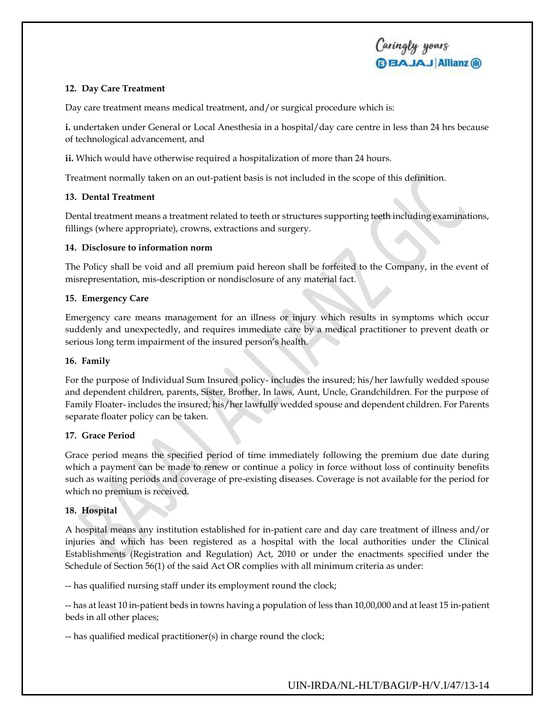## **12. Day Care Treatment**

Day care treatment means medical treatment, and/or surgical procedure which is:

**i.** undertaken under General or Local Anesthesia in a hospital/day care centre in less than 24 hrs because of technological advancement, and

**ii.** Which would have otherwise required a hospitalization of more than 24 hours.

Treatment normally taken on an out-patient basis is not included in the scope of this definition.

## **13. Dental Treatment**

Dental treatment means a treatment related to teeth or structures supporting teeth including examinations, fillings (where appropriate), crowns, extractions and surgery.

### **14. Disclosure to information norm**

The Policy shall be void and all premium paid hereon shall be forfeited to the Company, in the event of misrepresentation, mis-description or nondisclosure of any material fact.

## **15. Emergency Care**

Emergency care means management for an illness or injury which results in symptoms which occur suddenly and unexpectedly, and requires immediate care by a medical practitioner to prevent death or serious long term impairment of the insured person's health.

## **16. Family**

For the purpose of Individual Sum Insured policy- includes the insured; his/her lawfully wedded spouse and dependent children, parents, Sister, Brother, In laws, Aunt, Uncle, Grandchildren. For the purpose of Family Floater- includes the insured; his/her lawfully wedded spouse and dependent children. For Parents separate floater policy can be taken.

## **17. Grace Period**

Grace period means the specified period of time immediately following the premium due date during which a payment can be made to renew or continue a policy in force without loss of continuity benefits such as waiting periods and coverage of pre-existing diseases. Coverage is not available for the period for which no premium is received.

## **18. Hospital**

A hospital means any institution established for in-patient care and day care treatment of illness and/or injuries and which has been registered as a hospital with the local authorities under the Clinical Establishments (Registration and Regulation) Act, 2010 or under the enactments specified under the Schedule of Section 56(1) of the said Act OR complies with all minimum criteria as under:

-- has qualified nursing staff under its employment round the clock;

-- has at least 10 in-patient beds in towns having a population of less than 10,00,000 and at least 15 in-patient beds in all other places;

-- has qualified medical practitioner(s) in charge round the clock;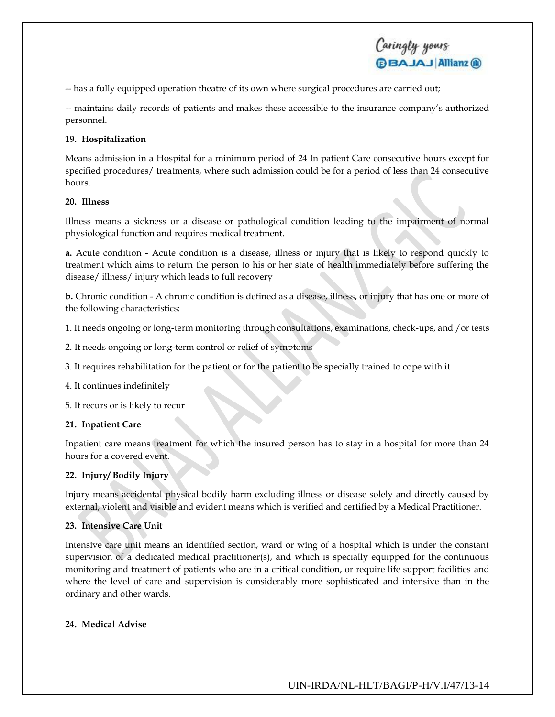-- has a fully equipped operation theatre of its own where surgical procedures are carried out;

-- maintains daily records of patients and makes these accessible to the insurance company's authorized personnel.

Caringly yours

**BBAJAJ Allianz ®** 

## **19. Hospitalization**

Means admission in a Hospital for a minimum period of 24 In patient Care consecutive hours except for specified procedures/ treatments, where such admission could be for a period of less than 24 consecutive hours.

## **20. Illness**

Illness means a sickness or a disease or pathological condition leading to the impairment of normal physiological function and requires medical treatment.

**a.** Acute condition - Acute condition is a disease, illness or injury that is likely to respond quickly to treatment which aims to return the person to his or her state of health immediately before suffering the disease/ illness/ injury which leads to full recovery

**b.** Chronic condition - A chronic condition is defined as a disease, illness, or injury that has one or more of the following characteristics:

- 1. It needs ongoing or long-term monitoring through consultations, examinations, check-ups, and /or tests
- 2. It needs ongoing or long-term control or relief of symptoms
- 3. It requires rehabilitation for the patient or for the patient to be specially trained to cope with it
- 4. It continues indefinitely
- 5. It recurs or is likely to recur

### **21. Inpatient Care**

Inpatient care means treatment for which the insured person has to stay in a hospital for more than 24 hours for a covered event.

## **22. Injury/ Bodily Injury**

Injury means accidental physical bodily harm excluding illness or disease solely and directly caused by external, violent and visible and evident means which is verified and certified by a Medical Practitioner.

### **23. Intensive Care Unit**

Intensive care unit means an identified section, ward or wing of a hospital which is under the constant supervision of a dedicated medical practitioner(s), and which is specially equipped for the continuous monitoring and treatment of patients who are in a critical condition, or require life support facilities and where the level of care and supervision is considerably more sophisticated and intensive than in the ordinary and other wards.

### **24. Medical Advise**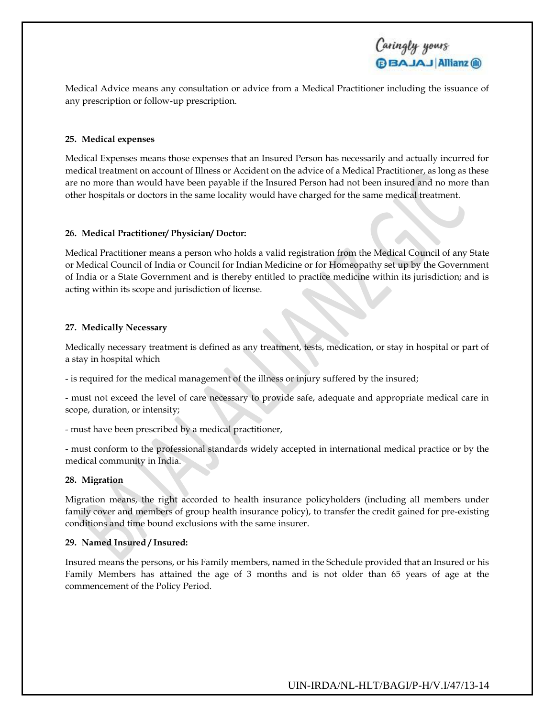

Medical Advice means any consultation or advice from a Medical Practitioner including the issuance of any prescription or follow-up prescription.

#### **25. Medical expenses**

Medical Expenses means those expenses that an Insured Person has necessarily and actually incurred for medical treatment on account of Illness or Accident on the advice of a Medical Practitioner, as long as these are no more than would have been payable if the Insured Person had not been insured and no more than other hospitals or doctors in the same locality would have charged for the same medical treatment.

### **26. Medical Practitioner/ Physician/ Doctor:**

Medical Practitioner means a person who holds a valid registration from the Medical Council of any State or Medical Council of India or Council for Indian Medicine or for Homeopathy set up by the Government of India or a State Government and is thereby entitled to practice medicine within its jurisdiction; and is acting within its scope and jurisdiction of license.

#### **27. Medically Necessary**

Medically necessary treatment is defined as any treatment, tests, medication, or stay in hospital or part of a stay in hospital which

- is required for the medical management of the illness or injury suffered by the insured;

- must not exceed the level of care necessary to provide safe, adequate and appropriate medical care in scope, duration, or intensity;

- must have been prescribed by a medical practitioner,

- must conform to the professional standards widely accepted in international medical practice or by the medical community in India.

#### **28. Migration**

Migration means, the right accorded to health insurance policyholders (including all members under family cover and members of group health insurance policy), to transfer the credit gained for pre-existing conditions and time bound exclusions with the same insurer.

### **29. Named Insured / Insured:**

Insured means the persons, or his Family members, named in the Schedule provided that an Insured or his Family Members has attained the age of 3 months and is not older than 65 years of age at the commencement of the Policy Period.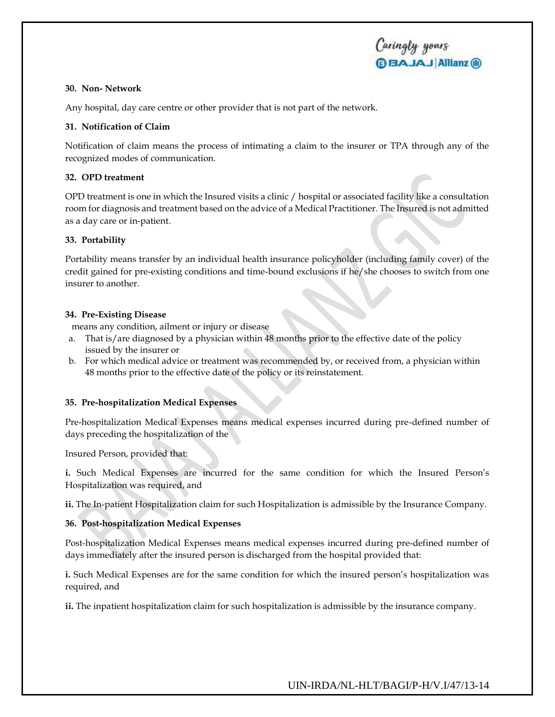### **30. Non- Network**

Any hospital, day care centre or other provider that is not part of the network.

## **31. Notification of Claim**

Notification of claim means the process of intimating a claim to the insurer or TPA through any of the recognized modes of communication.

## **32. OPD treatment**

OPD treatment is one in which the Insured visits a clinic / hospital or associated facility like a consultation room for diagnosis and treatment based on the advice of a Medical Practitioner. The Insured is not admitted as a day care or in-patient.

## **33. Portability**

Portability means transfer by an individual health insurance policyholder (including family cover) of the credit gained for pre-existing conditions and time-bound exclusions if he/she chooses to switch from one insurer to another.

## **34. Pre-Existing Disease**

means any condition, ailment or injury or disease

- a. That is/are diagnosed by a physician within 48 months prior to the effective date of the policy issued by the insurer or
- b. For which medical advice or treatment was recommended by, or received from, a physician within 48 months prior to the effective date of the policy or its reinstatement.

## **35. Pre-hospitalization Medical Expenses**

Pre-hospitalization Medical Expenses means medical expenses incurred during pre-defined number of days preceding the hospitalization of the

Insured Person, provided that:

**i.** Such Medical Expenses are incurred for the same condition for which the Insured Person's Hospitalization was required, and

**ii.** The In-patient Hospitalization claim for such Hospitalization is admissible by the Insurance Company.

## **36. Post-hospitalization Medical Expenses**

Post-hospitalization Medical Expenses means medical expenses incurred during pre-defined number of days immediately after the insured person is discharged from the hospital provided that:

**i.** Such Medical Expenses are for the same condition for which the insured person's hospitalization was required, and

**ii.** The inpatient hospitalization claim for such hospitalization is admissible by the insurance company.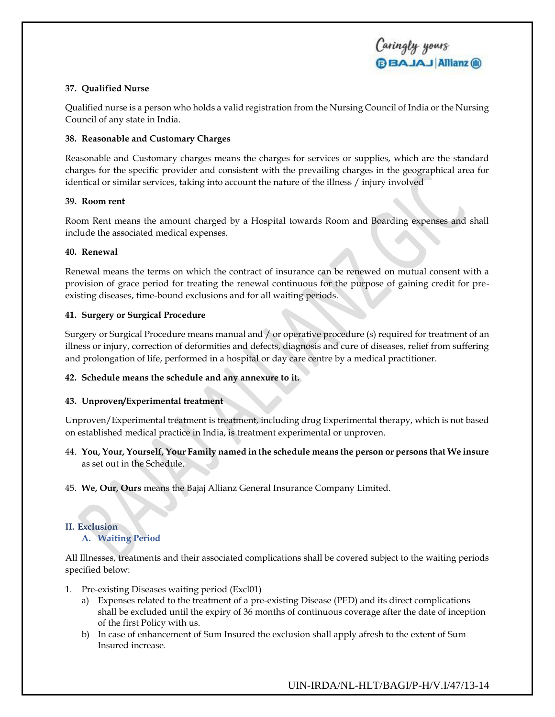## **37. Qualified Nurse**

Qualified nurse is a person who holds a valid registration from the Nursing Council of India or the Nursing Council of any state in India.

## **38. Reasonable and Customary Charges**

Reasonable and Customary charges means the charges for services or supplies, which are the standard charges for the specific provider and consistent with the prevailing charges in the geographical area for identical or similar services, taking into account the nature of the illness / injury involved

## **39. Room rent**

Room Rent means the amount charged by a Hospital towards Room and Boarding expenses and shall include the associated medical expenses.

## **40. Renewal**

Renewal means the terms on which the contract of insurance can be renewed on mutual consent with a provision of grace period for treating the renewal continuous for the purpose of gaining credit for preexisting diseases, time-bound exclusions and for all waiting periods.

## **41. Surgery or Surgical Procedure**

Surgery or Surgical Procedure means manual and / or operative procedure (s) required for treatment of an illness or injury, correction of deformities and defects, diagnosis and cure of diseases, relief from suffering and prolongation of life, performed in a hospital or day care centre by a medical practitioner.

## **42. Schedule means the schedule and any annexure to it.**

## **43. Unproven/Experimental treatment**

Unproven/Experimental treatment is treatment, including drug Experimental therapy, which is not based on established medical practice in India, is treatment experimental or unproven.

- 44. **You, Your, Yourself, Your Family named in the schedule means the person or persons that We insure** as set out in the Schedule.
- 45. **We, Our, Ours** means the Bajaj Allianz General Insurance Company Limited.

## **II. Exclusion**

## **A. Waiting Period**

All Illnesses, treatments and their associated complications shall be covered subject to the waiting periods specified below:

- 1. Pre-existing Diseases waiting period (Excl01)
	- a) Expenses related to the treatment of a pre-existing Disease (PED) and its direct complications shall be excluded until the expiry of 36 months of continuous coverage after the date of inception of the first Policy with us.
	- b) In case of enhancement of Sum Insured the exclusion shall apply afresh to the extent of Sum Insured increase.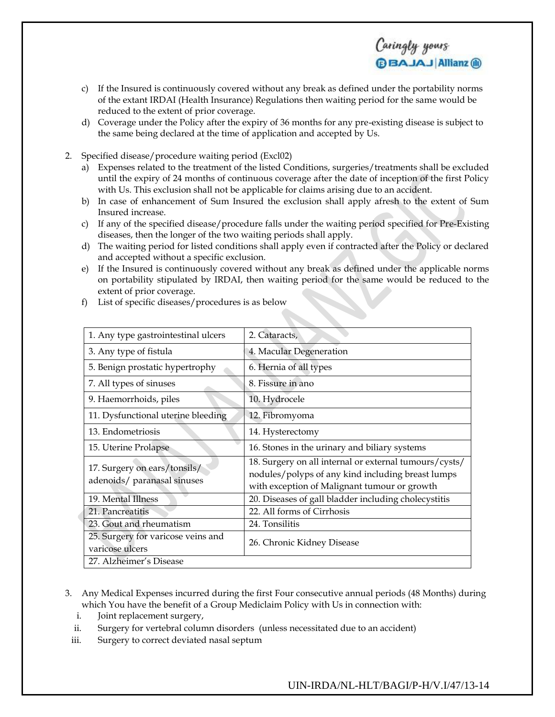

- c) If the Insured is continuously covered without any break as defined under the portability norms of the extant IRDAI (Health Insurance) Regulations then waiting period for the same would be reduced to the extent of prior coverage.
- d) Coverage under the Policy after the expiry of 36 months for any pre-existing disease is subject to the same being declared at the time of application and accepted by Us.
- 2. Specified disease/procedure waiting period (Excl02)
	- a) Expenses related to the treatment of the listed Conditions, surgeries/treatments shall be excluded until the expiry of 24 months of continuous coverage after the date of inception of the first Policy with Us. This exclusion shall not be applicable for claims arising due to an accident.
	- b) In case of enhancement of Sum Insured the exclusion shall apply afresh to the extent of Sum Insured increase.
	- c) If any of the specified disease/procedure falls under the waiting period specified for Pre-Existing diseases, then the longer of the two waiting periods shall apply.
	- d) The waiting period for listed conditions shall apply even if contracted after the Policy or declared and accepted without a specific exclusion.
	- e) If the Insured is continuously covered without any break as defined under the applicable norms on portability stipulated by IRDAI, then waiting period for the same would be reduced to the extent of prior coverage.

| 1. Any type gastrointestinal ulcers                         | 2. Cataracts,                                                                                                                                               |
|-------------------------------------------------------------|-------------------------------------------------------------------------------------------------------------------------------------------------------------|
| 3. Any type of fistula                                      | 4. Macular Degeneration                                                                                                                                     |
| 5. Benign prostatic hypertrophy                             | 6. Hernia of all types                                                                                                                                      |
| 7. All types of sinuses                                     | 8. Fissure in ano                                                                                                                                           |
| 9. Haemorrhoids, piles                                      | 10. Hydrocele                                                                                                                                               |
| 11. Dysfunctional uterine bleeding                          | 12. Fibromyoma                                                                                                                                              |
| 13. Endometriosis                                           | 14. Hysterectomy                                                                                                                                            |
| 15. Uterine Prolapse                                        | 16. Stones in the urinary and biliary systems                                                                                                               |
| 17. Surgery on ears/tonsils/<br>adenoids/ paranasal sinuses | 18. Surgery on all internal or external tumours/cysts/<br>nodules/polyps of any kind including breast lumps<br>with exception of Malignant tumour or growth |
| 19. Mental Illness                                          | 20. Diseases of gall bladder including cholecystitis                                                                                                        |
| 21. Pancreatitis                                            | 22. All forms of Cirrhosis                                                                                                                                  |
| 23. Gout and rheumatism                                     | 24. Tonsilitis                                                                                                                                              |
| 25. Surgery for varicose veins and<br>varicose ulcers       | 26. Chronic Kidney Disease                                                                                                                                  |
| 27. Alzheimer's Disease                                     |                                                                                                                                                             |

f) List of specific diseases/procedures is as below

- 3. Any Medical Expenses incurred during the first Four consecutive annual periods (48 Months) during which You have the benefit of a Group Mediclaim Policy with Us in connection with:
	- i. Joint replacement surgery,
	- ii. Surgery for vertebral column disorders (unless necessitated due to an accident)
- iii. Surgery to correct deviated nasal septum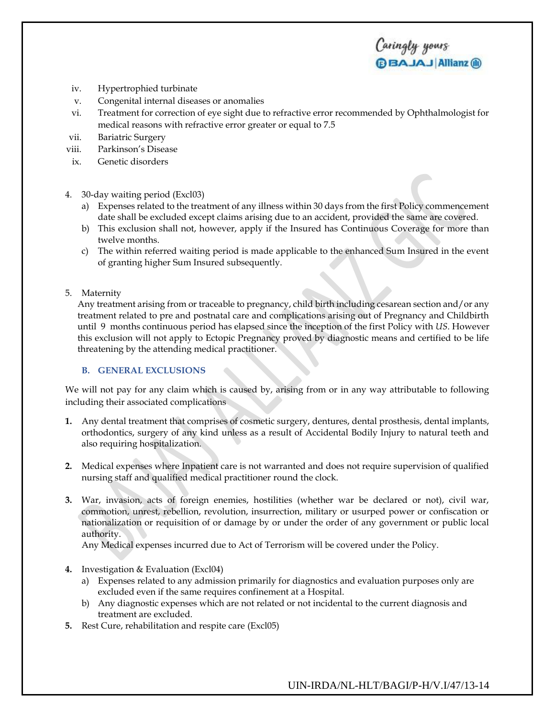- iv. Hypertrophied turbinate
- v. Congenital internal diseases or anomalies
- vi. Treatment for correction of eye sight due to refractive error recommended by Ophthalmologist for medical reasons with refractive error greater or equal to 7.5

Caringly yours

**BBAJAJ Allianz ®** 

- vii. Bariatric Surgery
- viii. Parkinson's Disease
- ix. Genetic disorders
- 4. 30-day waiting period (Excl03)
	- a) Expenses related to the treatment of any illness within 30 days from the first Policy commencement date shall be excluded except claims arising due to an accident, provided the same are covered.
	- b) This exclusion shall not, however, apply if the Insured has Continuous Coverage for more than twelve months.
	- c) The within referred waiting period is made applicable to the enhanced Sum Insured in the event of granting higher Sum Insured subsequently.
- 5. Maternity

Any treatment arising from or traceable to pregnancy, child birth including cesarean section and/or any treatment related to pre and postnatal care and complications arising out of Pregnancy and Childbirth until 9 months continuous period has elapsed since the inception of the first Policy with *US*. However this exclusion will not apply to Ectopic Pregnancy proved by diagnostic means and certified to be life threatening by the attending medical practitioner.

## **B. GENERAL EXCLUSIONS**

We will not pay for any claim which is caused by, arising from or in any way attributable to following including their associated complications

- **1.** Any dental treatment that comprises of cosmetic surgery, dentures, dental prosthesis, dental implants, orthodontics, surgery of any kind unless as a result of Accidental Bodily Injury to natural teeth and also requiring hospitalization.
- **2.** Medical expenses where Inpatient care is not warranted and does not require supervision of qualified nursing staff and qualified medical practitioner round the clock.
- **3.** War, invasion, acts of foreign enemies, hostilities (whether war be declared or not), civil war, commotion, unrest, rebellion, revolution, insurrection, military or usurped power or confiscation or nationalization or requisition of or damage by or under the order of any government or public local authority.

Any Medical expenses incurred due to Act of Terrorism will be covered under the Policy.

- **4.** Investigation & Evaluation (Excl04)
	- a) Expenses related to any admission primarily for diagnostics and evaluation purposes only are excluded even if the same requires confinement at a Hospital.
	- b) Any diagnostic expenses which are not related or not incidental to the current diagnosis and treatment are excluded.
- **5.** Rest Cure, rehabilitation and respite care (Excl05)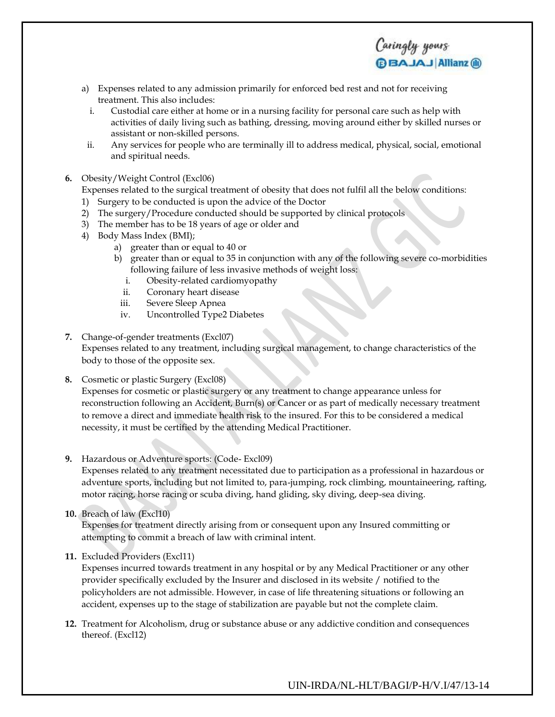- a) Expenses related to any admission primarily for enforced bed rest and not for receiving treatment. This also includes:
- i. Custodial care either at home or in a nursing facility for personal care such as help with activities of daily living such as bathing, dressing, moving around either by skilled nurses or assistant or non-skilled persons.

Caringly yours

**BBAJAJ Allianz ®** 

- ii. Any services for people who are terminally ill to address medical, physical, social, emotional and spiritual needs.
- **6.** Obesity/Weight Control (Excl06)

Expenses related to the surgical treatment of obesity that does not fulfil all the below conditions:

- 1) Surgery to be conducted is upon the advice of the Doctor
- 2) The surgery/Procedure conducted should be supported by clinical protocols
- 3) The member has to be 18 years of age or older and
- 4) Body Mass Index (BMI);
	- a) greater than or equal to 40 or
	- b) greater than or equal to 35 in conjunction with any of the following severe co-morbidities following failure of less invasive methods of weight loss:
		- i. Obesity-related cardiomyopathy
		- ii. Coronary heart disease
		- iii. Severe Sleep Apnea
		- iv. Uncontrolled Type2 Diabetes
- **7.** Change-of-gender treatments (Excl07) Expenses related to any treatment, including surgical management, to change characteristics of the body to those of the opposite sex.
- **8.** Cosmetic or plastic Surgery (Excl08)

Expenses for cosmetic or plastic surgery or any treatment to change appearance unless for reconstruction following an Accident, Burn(s) or Cancer or as part of medically necessary treatment to remove a direct and immediate health risk to the insured. For this to be considered a medical necessity, it must be certified by the attending Medical Practitioner.

**9.** Hazardous or Adventure sports: (Code- Excl09)

Expenses related to any treatment necessitated due to participation as a professional in hazardous or adventure sports, including but not limited to, para-jumping, rock climbing, mountaineering, rafting, motor racing, horse racing or scuba diving, hand gliding, sky diving, deep-sea diving.

**10.** Breach of law (Excl10)

Expenses for treatment directly arising from or consequent upon any Insured committing or attempting to commit a breach of law with criminal intent.

**11.** Excluded Providers (Excl11)

Expenses incurred towards treatment in any hospital or by any Medical Practitioner or any other provider specifically excluded by the Insurer and disclosed in its website / notified to the policyholders are not admissible. However, in case of life threatening situations or following an accident, expenses up to the stage of stabilization are payable but not the complete claim.

**12.** Treatment for Alcoholism, drug or substance abuse or any addictive condition and consequences thereof. (Excl12)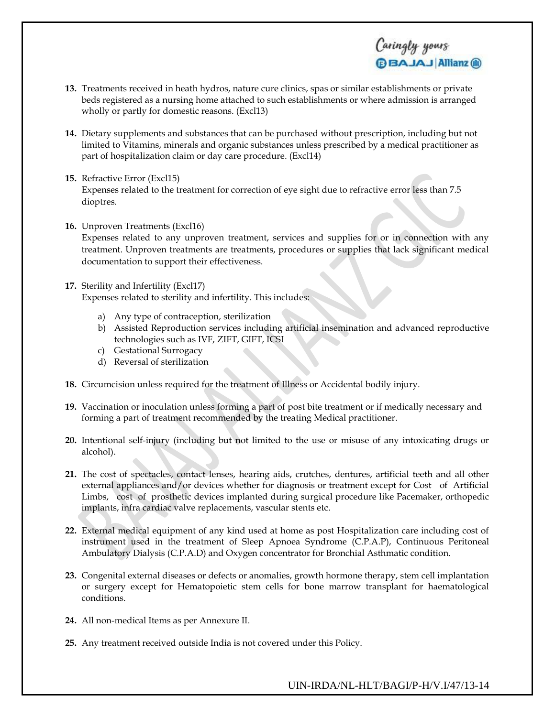**13.** Treatments received in heath hydros, nature cure clinics, spas or similar establishments or private beds registered as a nursing home attached to such establishments or where admission is arranged wholly or partly for domestic reasons. (Excl13)

Caringly yours

**BAJAJ Allianz ®** 

- **14.** Dietary supplements and substances that can be purchased without prescription, including but not limited to Vitamins, minerals and organic substances unless prescribed by a medical practitioner as part of hospitalization claim or day care procedure. (Excl14)
- **15.** Refractive Error (Excl15) Expenses related to the treatment for correction of eye sight due to refractive error less than 7.5 dioptres.
- **16.** Unproven Treatments (Excl16)

Expenses related to any unproven treatment, services and supplies for or in connection with any treatment. Unproven treatments are treatments, procedures or supplies that lack significant medical documentation to support their effectiveness.

- **17.** Sterility and Infertility (Excl17) Expenses related to sterility and infertility. This includes:
	- a) Any type of contraception, sterilization
	- b) Assisted Reproduction services including artificial insemination and advanced reproductive technologies such as IVF, ZIFT, GIFT, ICSI
	- c) Gestational Surrogacy
	- d) Reversal of sterilization
- **18.** Circumcision unless required for the treatment of Illness or Accidental bodily injury.
- **19.** Vaccination or inoculation unless forming a part of post bite treatment or if medically necessary and forming a part of treatment recommended by the treating Medical practitioner.
- **20.** Intentional self-injury (including but not limited to the use or misuse of any intoxicating drugs or alcohol).
- **21.** The cost of spectacles, contact lenses, hearing aids, crutches, dentures, artificial teeth and all other external appliances and/or devices whether for diagnosis or treatment except for Cost of Artificial Limbs, cost of prosthetic devices implanted during surgical procedure like Pacemaker, orthopedic implants, infra cardiac valve replacements, vascular stents etc.
- **22.** External medical equipment of any kind used at home as post Hospitalization care including cost of instrument used in the treatment of Sleep Apnoea Syndrome (C.P.A.P), Continuous Peritoneal Ambulatory Dialysis (C.P.A.D) and Oxygen concentrator for Bronchial Asthmatic condition.
- **23.** Congenital external diseases or defects or anomalies, growth hormone therapy, stem cell implantation or surgery except for Hematopoietic stem cells for bone marrow transplant for haematological conditions.
- **24.** All non-medical Items as per Annexure II.
- **25.** Any treatment received outside India is not covered under this Policy.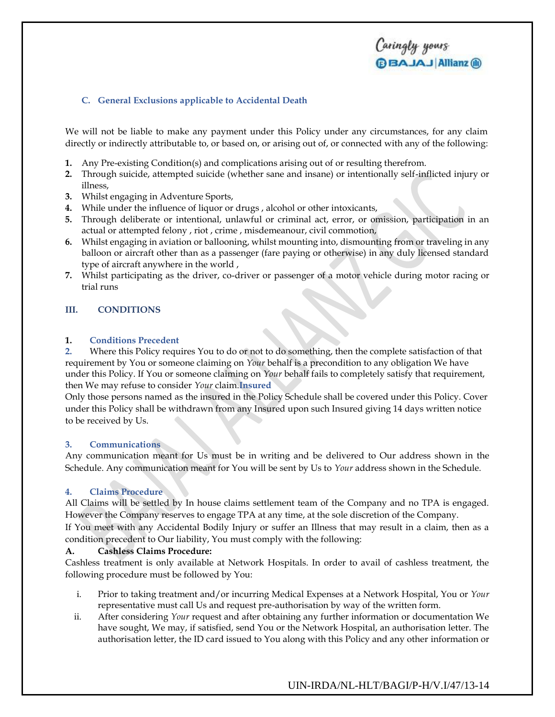## Caringly yours **BBAJAJ Allianz (ii)**

## **C. General Exclusions applicable to Accidental Death**

We will not be liable to make any payment under this Policy under any circumstances, for any claim directly or indirectly attributable to, or based on, or arising out of, or connected with any of the following:

- **1.** Any Pre-existing Condition(s) and complications arising out of or resulting therefrom.
- **2.** Through suicide, attempted suicide (whether sane and insane) or intentionally self-inflicted injury or illness,
- **3.** Whilst engaging in Adventure Sports,
- **4.** While under the influence of liquor or drugs , alcohol or other intoxicants,
- **5.** Through deliberate or intentional, unlawful or criminal act, error, or omission, participation in an actual or attempted felony , riot , crime , misdemeanour, civil commotion,
- **6.** Whilst engaging in aviation or ballooning, whilst mounting into, dismounting from or traveling in any balloon or aircraft other than as a passenger (fare paying or otherwise) in any duly licensed standard type of aircraft anywhere in the world ,
- **7.** Whilst participating as the driver, co-driver or passenger of a motor vehicle during motor racing or trial runs

### **III. CONDITIONS**

### **1. Conditions Precedent**

**2.** Where this Policy requires You to do or not to do something, then the complete satisfaction of that requirement by You or someone claiming on *Your* behalf is a precondition to any obligation We have under this Policy. If You or someone claiming on *Your* behalf fails to completely satisfy that requirement, then We may refuse to consider *Your* claim.**Insured**

Only those persons named as the insured in the Policy Schedule shall be covered under this Policy. Cover under this Policy shall be withdrawn from any Insured upon such Insured giving 14 days written notice to be received by Us.

### **3. Communications**

Any communication meant for Us must be in writing and be delivered to Our address shown in the Schedule. Any communication meant for You will be sent by Us to *Your* address shown in the Schedule.

### **4. Claims Procedure**

All Claims will be settled by In house claims settlement team of the Company and no TPA is engaged. However the Company reserves to engage TPA at any time, at the sole discretion of the Company. If You meet with any Accidental Bodily Injury or suffer an Illness that may result in a claim, then as a condition precedent to Our liability, You must comply with the following:

### **A. Cashless Claims Procedure:**

Cashless treatment is only available at Network Hospitals. In order to avail of cashless treatment, the following procedure must be followed by You:

- i. Prior to taking treatment and/or incurring Medical Expenses at a Network Hospital, You or *Your* representative must call Us and request pre-authorisation by way of the written form.
- ii. After considering *Your* request and after obtaining any further information or documentation We have sought, We may, if satisfied, send You or the Network Hospital, an authorisation letter. The authorisation letter, the ID card issued to You along with this Policy and any other information or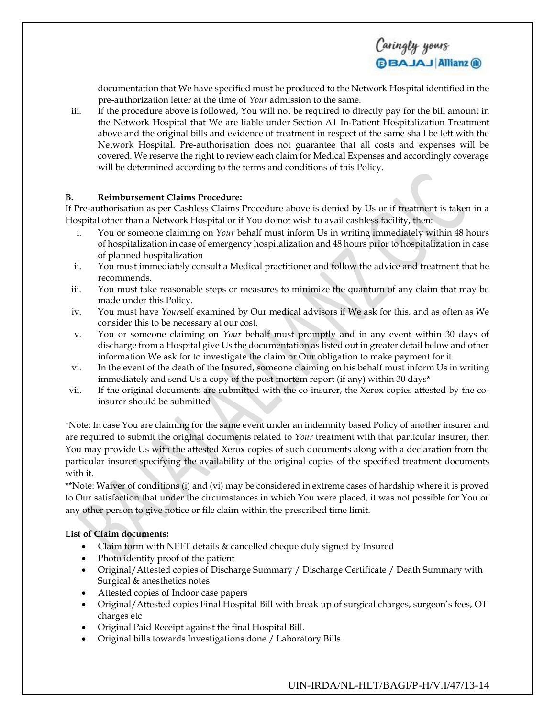

documentation that We have specified must be produced to the Network Hospital identified in the pre-authorization letter at the time of *Your* admission to the same.

iii. If the procedure above is followed, You will not be required to directly pay for the bill amount in the Network Hospital that We are liable under Section A1 In-Patient Hospitalization Treatment above and the original bills and evidence of treatment in respect of the same shall be left with the Network Hospital. Pre-authorisation does not guarantee that all costs and expenses will be covered. We reserve the right to review each claim for Medical Expenses and accordingly coverage will be determined according to the terms and conditions of this Policy.

## **B. Reimbursement Claims Procedure:**

If Pre-authorisation as per Cashless Claims Procedure above is denied by Us or if treatment is taken in a Hospital other than a Network Hospital or if You do not wish to avail cashless facility, then:

- i. You or someone claiming on *Your* behalf must inform Us in writing immediately within 48 hours of hospitalization in case of emergency hospitalization and 48 hours prior to hospitalization in case of planned hospitalization
- ii. You must immediately consult a Medical practitioner and follow the advice and treatment that he recommends.
- iii. You must take reasonable steps or measures to minimize the quantum of any claim that may be made under this Policy.
- iv. You must have *Your*self examined by Our medical advisors if We ask for this, and as often as We consider this to be necessary at our cost.
- v. You or someone claiming on *Your* behalf must promptly and in any event within 30 days of discharge from a Hospital give Us the documentation as listed out in greater detail below and other information We ask for to investigate the claim or Our obligation to make payment for it.
- vi. In the event of the death of the Insured, someone claiming on his behalf must inform Us in writing immediately and send Us a copy of the post mortem report (if any) within 30 days\*
- vii. If the original documents are submitted with the co-insurer, the Xerox copies attested by the coinsurer should be submitted

\*Note: In case You are claiming for the same event under an indemnity based Policy of another insurer and are required to submit the original documents related to *Your* treatment with that particular insurer, then You may provide Us with the attested Xerox copies of such documents along with a declaration from the particular insurer specifying the availability of the original copies of the specified treatment documents with it.

\*\*Note: Waiver of conditions (i) and (vi) may be considered in extreme cases of hardship where it is proved to Our satisfaction that under the circumstances in which You were placed, it was not possible for You or any other person to give notice or file claim within the prescribed time limit.

## **List of Claim documents:**

- Claim form with NEFT details & cancelled cheque duly signed by Insured
- Photo identity proof of the patient
- Original/Attested copies of Discharge Summary / Discharge Certificate / Death Summary with Surgical & anesthetics notes
- Attested copies of Indoor case papers
- Original/Attested copies Final Hospital Bill with break up of surgical charges, surgeon's fees, OT charges etc
- Original Paid Receipt against the final Hospital Bill.
- Original bills towards Investigations done / Laboratory Bills.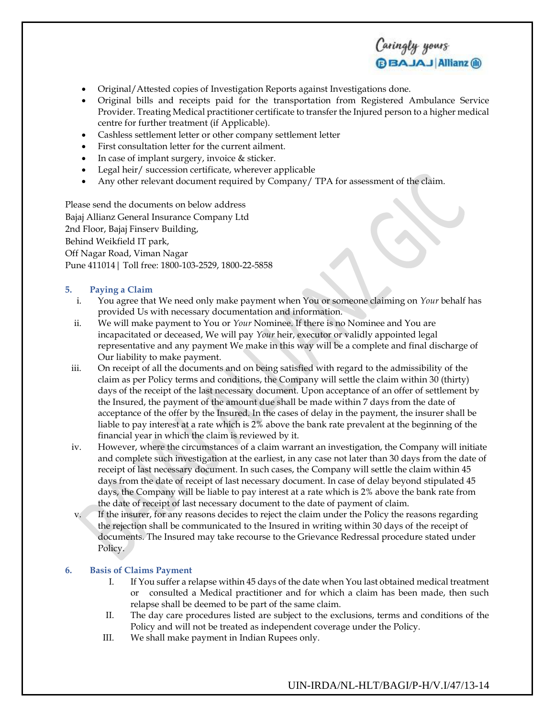- Original/Attested copies of Investigation Reports against Investigations done.
- Original bills and receipts paid for the transportation from Registered Ambulance Service Provider. Treating Medical practitioner certificate to transfer the Injured person to a higher medical centre for further treatment (if Applicable).

Caringly yours

**BBAJAJ Allianz ®** 

- Cashless settlement letter or other company settlement letter
- First consultation letter for the current ailment.
- In case of implant surgery, invoice & sticker.
- Legal heir/ succession certificate, wherever applicable
- Any other relevant document required by Company/ TPA for assessment of the claim.

Please send the documents on below address Bajaj Allianz General Insurance Company Ltd 2nd Floor, Bajaj Finserv Building, Behind Weikfield IT park, Off Nagar Road, Viman Nagar Pune 411014| Toll free: 1800-103-2529, 1800-22-5858

## **5. Paying a Claim**

- i. You agree that We need only make payment when You or someone claiming on *Your* behalf has provided Us with necessary documentation and information.
- ii. We will make payment to You or *Your* Nominee. If there is no Nominee and You are incapacitated or deceased, We will pay *Your* heir, executor or validly appointed legal representative and any payment We make in this way will be a complete and final discharge of Our liability to make payment.
- iii. On receipt of all the documents and on being satisfied with regard to the admissibility of the claim as per Policy terms and conditions, the Company will settle the claim within 30 (thirty) days of the receipt of the last necessary document. Upon acceptance of an offer of settlement by the Insured, the payment of the amount due shall be made within 7 days from the date of acceptance of the offer by the Insured. In the cases of delay in the payment, the insurer shall be liable to pay interest at a rate which is 2% above the bank rate prevalent at the beginning of the financial year in which the claim is reviewed by it.
- iv. However, where the circumstances of a claim warrant an investigation, the Company will initiate and complete such investigation at the earliest, in any case not later than 30 days from the date of receipt of last necessary document. In such cases, the Company will settle the claim within 45 days from the date of receipt of last necessary document. In case of delay beyond stipulated 45 days, the Company will be liable to pay interest at a rate which is 2% above the bank rate from the date of receipt of last necessary document to the date of payment of claim.
- If the insurer, for any reasons decides to reject the claim under the Policy the reasons regarding the rejection shall be communicated to the Insured in writing within 30 days of the receipt of documents. The Insured may take recourse to the Grievance Redressal procedure stated under Policy.

## **6. Basis of Claims Payment**

- I. If You suffer a relapse within 45 days of the date when You last obtained medical treatment or consulted a Medical practitioner and for which a claim has been made, then such relapse shall be deemed to be part of the same claim.
- II. The day care procedures listed are subject to the exclusions, terms and conditions of the Policy and will not be treated as independent coverage under the Policy.
- III. We shall make payment in Indian Rupees only.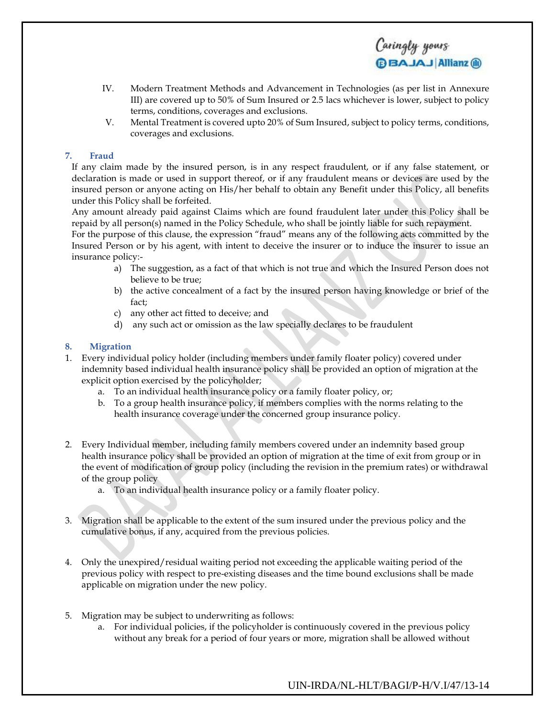IV. Modern Treatment Methods and Advancement in Technologies (as per list in Annexure III) are covered up to 50% of Sum Insured or 2.5 lacs whichever is lower, subject to policy terms, conditions, coverages and exclusions.

Caringly yours

**BBAJAJ Allianz ®** 

V. Mental Treatment is covered upto 20% of Sum Insured, subject to policy terms, conditions, coverages and exclusions.

## **7. Fraud**

If any claim made by the insured person, is in any respect fraudulent, or if any false statement, or declaration is made or used in support thereof, or if any fraudulent means or devices are used by the insured person or anyone acting on His/her behalf to obtain any Benefit under this Policy, all benefits under this Policy shall be forfeited.

Any amount already paid against Claims which are found fraudulent later under this Policy shall be repaid by all person(s) named in the Policy Schedule, who shall be jointly liable for such repayment.

For the purpose of this clause, the expression "fraud" means any of the following acts committed by the Insured Person or by his agent, with intent to deceive the insurer or to induce the insurer to issue an insurance policy:-

- a) The suggestion, as a fact of that which is not true and which the Insured Person does not believe to be true;
- b) the active concealment of a fact by the insured person having knowledge or brief of the fact;
- c) any other act fitted to deceive; and
- d) any such act or omission as the law specially declares to be fraudulent

### **8. Migration**

- 1. Every individual policy holder (including members under family floater policy) covered under indemnity based individual health insurance policy shall be provided an option of migration at the explicit option exercised by the policyholder;
	- a. To an individual health insurance policy or a family floater policy, or;
	- b. To a group health insurance policy, if members complies with the norms relating to the health insurance coverage under the concerned group insurance policy.
- 2. Every Individual member, including family members covered under an indemnity based group health insurance policy shall be provided an option of migration at the time of exit from group or in the event of modification of group policy (including the revision in the premium rates) or withdrawal of the group policy
	- a. To an individual health insurance policy or a family floater policy.
- 3. Migration shall be applicable to the extent of the sum insured under the previous policy and the cumulative bonus, if any, acquired from the previous policies.
- 4. Only the unexpired/residual waiting period not exceeding the applicable waiting period of the previous policy with respect to pre-existing diseases and the time bound exclusions shall be made applicable on migration under the new policy.
- 5. Migration may be subject to underwriting as follows:
	- a. For individual policies, if the policyholder is continuously covered in the previous policy without any break for a period of four years or more, migration shall be allowed without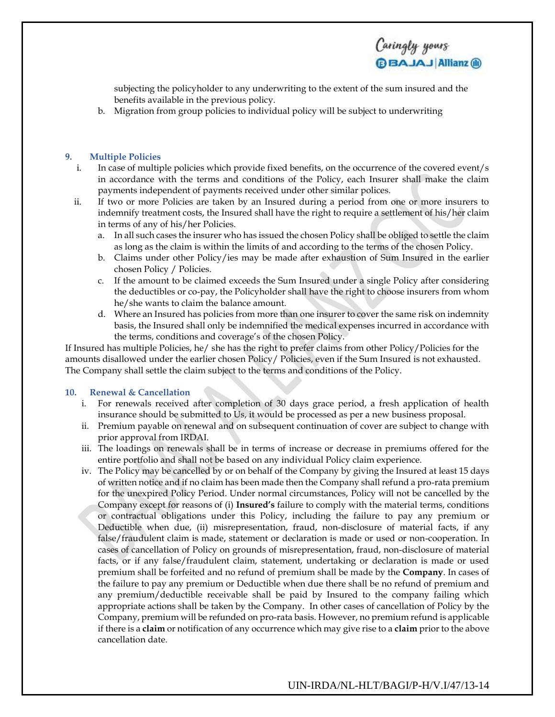subjecting the policyholder to any underwriting to the extent of the sum insured and the benefits available in the previous policy.

b. Migration from group policies to individual policy will be subject to underwriting

#### **9. Multiple Policies**

- i. In case of multiple policies which provide fixed benefits, on the occurrence of the covered event/s in accordance with the terms and conditions of the Policy, each Insurer shall make the claim payments independent of payments received under other similar polices.
- ii. If two or more Policies are taken by an Insured during a period from one or more insurers to indemnify treatment costs, the Insured shall have the right to require a settlement of his/her claim in terms of any of his/her Policies.
	- a. In all such cases the insurer who has issued the chosen Policy shall be obliged to settle the claim as long as the claim is within the limits of and according to the terms of the chosen Policy.
	- b. Claims under other Policy/ies may be made after exhaustion of Sum Insured in the earlier chosen Policy / Policies.
	- c. If the amount to be claimed exceeds the Sum Insured under a single Policy after considering the deductibles or co-pay, the Policyholder shall have the right to choose insurers from whom he/she wants to claim the balance amount.
	- d. Where an Insured has policies from more than one insurer to cover the same risk on indemnity basis, the Insured shall only be indemnified the medical expenses incurred in accordance with the terms, conditions and coverage's of the chosen Policy.

If Insured has multiple Policies, he/ she has the right to prefer claims from other Policy/Policies for the amounts disallowed under the earlier chosen Policy/ Policies, even if the Sum Insured is not exhausted. The Company shall settle the claim subject to the terms and conditions of the Policy.

#### **10. Renewal & Cancellation**

- i. For renewals received after completion of 30 days grace period, a fresh application of health insurance should be submitted to Us, it would be processed as per a new business proposal.
- ii. Premium payable on renewal and on subsequent continuation of cover are subject to change with prior approval from IRDAI.
- iii. The loadings on renewals shall be in terms of increase or decrease in premiums offered for the entire portfolio and shall not be based on any individual Policy claim experience.
- iv. The Policy may be cancelled by or on behalf of the Company by giving the Insured at least 15 days of written notice and if no claim has been made then the Company shall refund a pro-rata premium for the unexpired Policy Period. Under normal circumstances, Policy will not be cancelled by the Company except for reasons of (i) **Insured's** failure to comply with the material terms, conditions or contractual obligations under this Policy, including the failure to pay any premium or Deductible when due, (ii) misrepresentation, fraud, non-disclosure of material facts, if any false/fraudulent claim is made, statement or declaration is made or used or non-cooperation. In cases of cancellation of Policy on grounds of misrepresentation, fraud, non-disclosure of material facts, or if any false/fraudulent claim, statement, undertaking or declaration is made or used premium shall be forfeited and no refund of premium shall be made by the **Company**. In cases of the failure to pay any premium or Deductible when due there shall be no refund of premium and any premium/deductible receivable shall be paid by Insured to the company failing which appropriate actions shall be taken by the Company. In other cases of cancellation of Policy by the Company, premium will be refunded on pro-rata basis. However, no premium refund is applicable if there is a **claim** or notification of any occurrence which may give rise to a **claim** prior to the above cancellation date.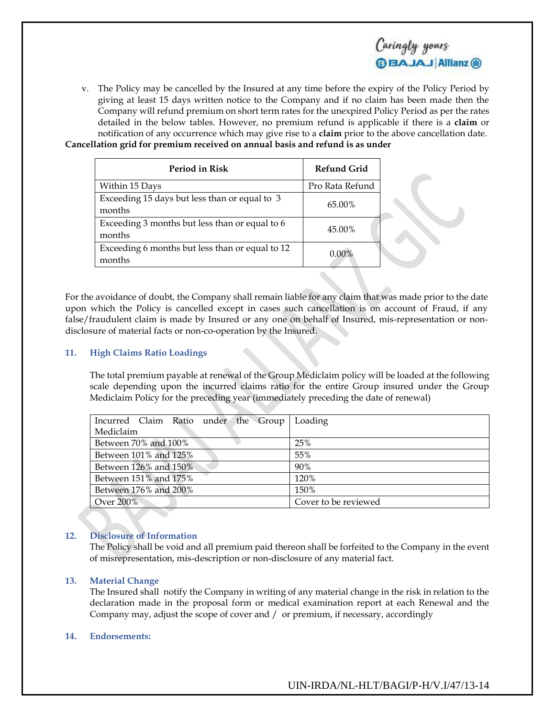

v. The Policy may be cancelled by the Insured at any time before the expiry of the Policy Period by giving at least 15 days written notice to the Company and if no claim has been made then the Company will refund premium on short term rates for the unexpired Policy Period as per the rates detailed in the below tables. However, no premium refund is applicable if there is a **claim** or notification of any occurrence which may give rise to a **claim** prior to the above cancellation date. **Cancellation grid for premium received on annual basis and refund is as under**

| Period in Risk                                            | <b>Refund Grid</b> |  |
|-----------------------------------------------------------|--------------------|--|
| Within 15 Days                                            | Pro Rata Refund    |  |
| Exceeding 15 days but less than or equal to 3<br>months   | 65.00%             |  |
| Exceeding 3 months but less than or equal to 6<br>months  | 45.00%             |  |
| Exceeding 6 months but less than or equal to 12<br>months | $0.00\%$           |  |

For the avoidance of doubt, the Company shall remain liable for any claim that was made prior to the date upon which the Policy is cancelled except in cases such cancellation is on account of Fraud, if any false/fraudulent claim is made by Insured or any one on behalf of Insured, mis-representation or nondisclosure of material facts or non-co-operation by the Insured.

#### **11. High Claims Ratio Loadings**

The total premium payable at renewal of the Group Mediclaim policy will be loaded at the following scale depending upon the incurred claims ratio for the entire Group insured under the Group Mediclaim Policy for the preceding year (immediately preceding the date of renewal)

| Incurred Claim Ratio under the Group | Loading              |
|--------------------------------------|----------------------|
| Mediclaim                            |                      |
| Between 70% and 100%                 | 25%                  |
| Between 101% and 125%                | 55%                  |
| Between 126% and 150%                | 90%                  |
| Between 151% and 175%                | 120%                 |
| Between 176% and 200%                | 150%                 |
| Over 200%                            | Cover to be reviewed |

### **12. Disclosure of Information**

The Policy shall be void and all premium paid thereon shall be forfeited to the Company in the event of misrepresentation, mis-description or non-disclosure of any material fact.

### **13. Material Change**

The Insured shall notify the Company in writing of any material change in the risk in relation to the declaration made in the proposal form or medical examination report at each Renewal and the Company may, adjust the scope of cover and / or premium, if necessary, accordingly

#### **14. Endorsements:**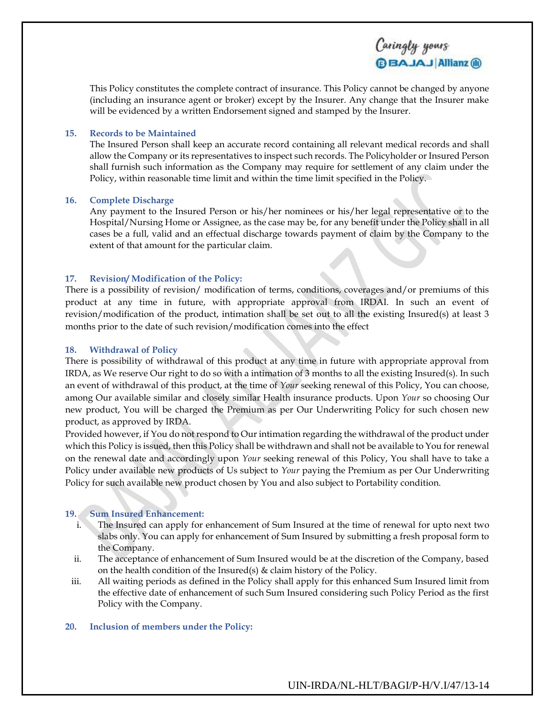This Policy constitutes the complete contract of insurance. This Policy cannot be changed by anyone (including an insurance agent or broker) except by the Insurer. Any change that the Insurer make will be evidenced by a written Endorsement signed and stamped by the Insurer.

Caringly yours

**BBAJAJ Allianz ®** 

### **15. Records to be Maintained**

The Insured Person shall keep an accurate record containing all relevant medical records and shall allow the Company or its representatives to inspect such records. The Policyholder or Insured Person shall furnish such information as the Company may require for settlement of any claim under the Policy, within reasonable time limit and within the time limit specified in the Policy.

#### **16. Complete Discharge**

Any payment to the Insured Person or his/her nominees or his/her legal representative or to the Hospital/Nursing Home or Assignee, as the case may be, for any benefit under the Policy shall in all cases be a full, valid and an effectual discharge towards payment of claim by the Company to the extent of that amount for the particular claim.

### **17. Revision/ Modification of the Policy:**

There is a possibility of revision/ modification of terms, conditions, coverages and/or premiums of this product at any time in future, with appropriate approval from IRDAI. In such an event of revision/modification of the product, intimation shall be set out to all the existing Insured(s) at least 3 months prior to the date of such revision/modification comes into the effect

### **18. Withdrawal of Policy**

There is possibility of withdrawal of this product at any time in future with appropriate approval from IRDA, as We reserve Our right to do so with a intimation of 3 months to all the existing Insured(s). In such an event of withdrawal of this product, at the time of *Your* seeking renewal of this Policy, You can choose, among Our available similar and closely similar Health insurance products. Upon *Your* so choosing Our new product, You will be charged the Premium as per Our Underwriting Policy for such chosen new product, as approved by IRDA.

Provided however, if You do not respond to Our intimation regarding the withdrawal of the product under which this Policy is issued, then this Policy shall be withdrawn and shall not be available to You for renewal on the renewal date and accordingly upon *Your* seeking renewal of this Policy, You shall have to take a Policy under available new products of Us subject to *Your* paying the Premium as per Our Underwriting Policy for such available new product chosen by You and also subject to Portability condition.

### **19. Sum Insured Enhancement:**

- i. The Insured can apply for enhancement of Sum Insured at the time of renewal for upto next two slabs only. You can apply for enhancement of Sum Insured by submitting a fresh proposal form to the Company.
- ii. The acceptance of enhancement of Sum Insured would be at the discretion of the Company, based on the health condition of the Insured(s) & claim history of the Policy.
- iii. All waiting periods as defined in the Policy shall apply for this enhanced Sum Insured limit from the effective date of enhancement of such Sum Insured considering such Policy Period as the first Policy with the Company.

### **20. Inclusion of members under the Policy:**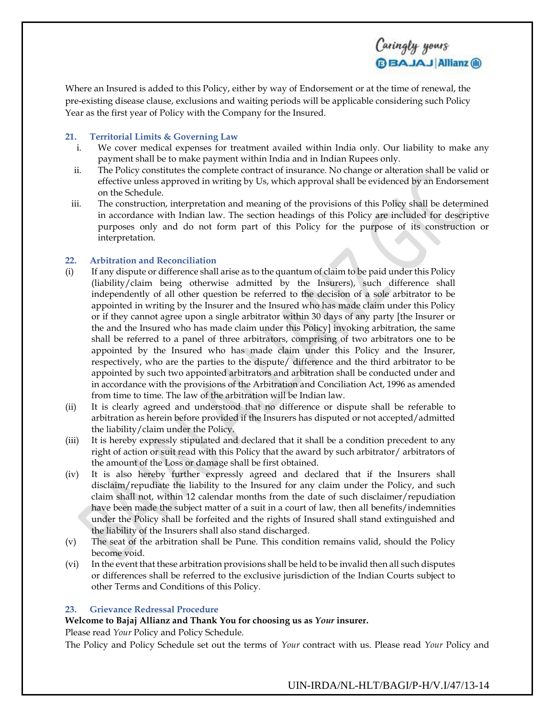Where an Insured is added to this Policy, either by way of Endorsement or at the time of renewal, the pre-existing disease clause, exclusions and waiting periods will be applicable considering such Policy Year as the first year of Policy with the Company for the Insured.

## **21. Territorial Limits & Governing Law**

- i. We cover medical expenses for treatment availed within India only. Our liability to make any payment shall be to make payment within India and in Indian Rupees only.
- ii. The Policy constitutes the complete contract of insurance. No change or alteration shall be valid or effective unless approved in writing by Us, which approval shall be evidenced by an Endorsement on the Schedule.
- iii. The construction, interpretation and meaning of the provisions of this Policy shall be determined in accordance with Indian law. The section headings of this Policy are included for descriptive purposes only and do not form part of this Policy for the purpose of its construction or interpretation.

## **22. Arbitration and Reconciliation**

- (i) If any dispute or difference shall arise as to the quantum of claim to be paid under this Policy (liability/claim being otherwise admitted by the Insurers), such difference shall independently of all other question be referred to the decision of a sole arbitrator to be appointed in writing by the Insurer and the Insured who has made claim under this Policy or if they cannot agree upon a single arbitrator within 30 days of any party [the Insurer or the and the Insured who has made claim under this Policy] invoking arbitration, the same shall be referred to a panel of three arbitrators, comprising of two arbitrators one to be appointed by the Insured who has made claim under this Policy and the Insurer, respectively, who are the parties to the dispute/ difference and the third arbitrator to be appointed by such two appointed arbitrators and arbitration shall be conducted under and in accordance with the provisions of the Arbitration and Conciliation Act, 1996 as amended from time to time. The law of the arbitration will be Indian law.
- (ii) It is clearly agreed and understood that no difference or dispute shall be referable to arbitration as herein before provided if the Insurers has disputed or not accepted/admitted the liability/claim under the Policy.
- (iii) It is hereby expressly stipulated and declared that it shall be a condition precedent to any right of action or suit read with this Policy that the award by such arbitrator/ arbitrators of the amount of the Loss or damage shall be first obtained.
- (iv) It is also hereby further expressly agreed and declared that if the Insurers shall disclaim/repudiate the liability to the Insured for any claim under the Policy, and such claim shall not, within 12 calendar months from the date of such disclaimer/repudiation have been made the subject matter of a suit in a court of law, then all benefits/indemnities under the Policy shall be forfeited and the rights of Insured shall stand extinguished and the liability of the Insurers shall also stand discharged.
- (v) The seat of the arbitration shall be Pune. This condition remains valid, should the Policy become void.
- (vi) In the event that these arbitration provisions shall be held to be invalid then all such disputes or differences shall be referred to the exclusive jurisdiction of the Indian Courts subject to other Terms and Conditions of this Policy.

### **23. Grievance Redressal Procedure**

## **Welcome to Bajaj Allianz and Thank You for choosing us as** *Your* **insurer.**

Please read *Your* Policy and Policy Schedule.

The Policy and Policy Schedule set out the terms of *Your* contract with us. Please read *Your* Policy and

UIN-IRDA/NL-HLT/BAGI/P-H/V.I/47/13-14

Caringly yours

**BBAJAJ Allianz ®**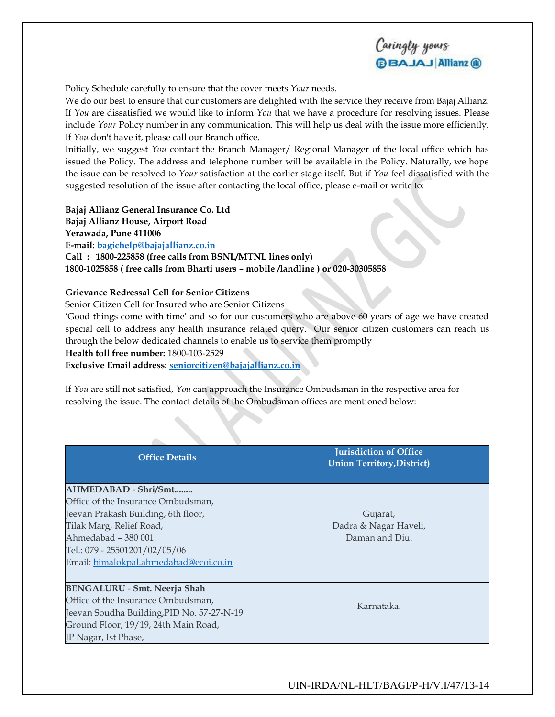

Policy Schedule carefully to ensure that the cover meets *Your* needs.

We do our best to ensure that our customers are delighted with the service they receive from Bajaj Allianz. If *You* are dissatisfied we would like to inform *You* that we have a procedure for resolving issues. Please include *Your* Policy number in any communication. This will help us deal with the issue more efficiently. If *You* don't have it, please call our Branch office.

Initially, we suggest *You* contact the Branch Manager/ Regional Manager of the local office which has issued the Policy. The address and telephone number will be available in the Policy. Naturally, we hope the issue can be resolved to *Your* satisfaction at the earlier stage itself. But if *You* feel dissatisfied with the suggested resolution of the issue after contacting the local office, please e-mail or write to:

#### **Bajaj Allianz General Insurance Co. Ltd**

**Bajaj Allianz House, Airport Road**

#### **Yerawada, Pune 411006**

**E-mail: [bagichelp@bajajallianz.co.in](mailto:bagichelp@bajajallianz.co.in)**

**Call : 1800-225858 (free calls from BSNL/MTNL lines only) 1800-1025858 ( free calls from Bharti users – mobile /landline ) or 020-30305858** 

#### **Grievance Redressal Cell for Senior Citizens**

Senior Citizen Cell for Insured who are Senior Citizens

'Good things come with time' and so for our customers who are above 60 years of age we have created special cell to address any health insurance related query. Our senior citizen customers can reach us through the below dedicated channels to enable us to service them promptly

## **Health toll free number:** 1800-103-2529

**Exclusive Email address: [seniorcitizen@bajajallianz.co.in](mailto:seniorcitizen@bajajallianz.co.in)**

If *You* are still not satisfied, *You* can approach the Insurance Ombudsman in the respective area for resolving the issue. The contact details of the Ombudsman offices are mentioned below:

| <b>Office Details</b>                                                                                                                                                                                                            | <b>Jurisdiction of Office</b><br><b>Union Territory, District)</b> |
|----------------------------------------------------------------------------------------------------------------------------------------------------------------------------------------------------------------------------------|--------------------------------------------------------------------|
| AHMEDABAD - Shri/Smt<br>Office of the Insurance Ombudsman,<br>Jeevan Prakash Building, 6th floor,<br>Tilak Marg, Relief Road,<br>Ahmedabad - 380 001.<br>Tel.: 079 - 25501201/02/05/06<br>Email: bimalokpal.ahmedabad@ecoi.co.in | Gujarat,<br>Dadra & Nagar Haveli,<br>Daman and Diu.                |
| <b>BENGALURU - Smt. Neerja Shah</b><br>Office of the Insurance Ombudsman,<br>Jeevan Soudha Building, PID No. 57-27-N-19<br>Ground Floor, 19/19, 24th Main Road,<br>JP Nagar, Ist Phase,                                          | Karnataka.                                                         |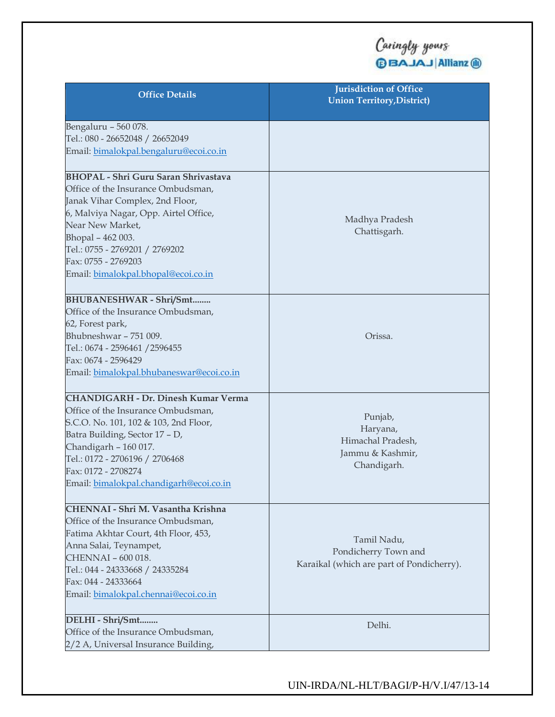| <b>Office Details</b>                       | <b>Jurisdiction of Office</b><br><b>Union Territory, District)</b> |
|---------------------------------------------|--------------------------------------------------------------------|
| Bengaluru - 560 078.                        |                                                                    |
| Tel.: 080 - 26652048 / 26652049             |                                                                    |
| Email: bimalokpal.bengaluru@ecoi.co.in      |                                                                    |
| <b>BHOPAL - Shri Guru Saran Shrivastava</b> |                                                                    |
| Office of the Insurance Ombudsman,          |                                                                    |
| Janak Vihar Complex, 2nd Floor,             |                                                                    |
| 6, Malviya Nagar, Opp. Airtel Office,       | Madhya Pradesh                                                     |
| Near New Market,                            | Chattisgarh.                                                       |
| Bhopal - 462 003.                           |                                                                    |
| Tel.: 0755 - 2769201 / 2769202              |                                                                    |
| Fax: 0755 - 2769203                         |                                                                    |
| Email: bimalokpal.bhopal@ecoi.co.in         |                                                                    |
| BHUBANESHWAR - Shri/Smt                     |                                                                    |
| Office of the Insurance Ombudsman,          |                                                                    |
| 62, Forest park,                            |                                                                    |
| Bhubneshwar - 751 009.                      | Orissa.                                                            |
| Tel.: 0674 - 2596461 / 2596455              |                                                                    |
| Fax: 0674 - 2596429                         |                                                                    |
| Email: bimalokpal.bhubaneswar@ecoi.co.in    |                                                                    |
| <b>CHANDIGARH - Dr. Dinesh Kumar Verma</b>  |                                                                    |
| Office of the Insurance Ombudsman,          |                                                                    |
| S.C.O. No. 101, 102 & 103, 2nd Floor,       | Punjab,                                                            |
| Batra Building, Sector 17 - D,              | Haryana,<br>Himachal Pradesh,                                      |
| Chandigarh - 160 017.                       | Jammu & Kashmir,                                                   |
| Tel.: 0172 - 2706196 / 2706468              | Chandigarh.                                                        |
| Fax: 0172 - 2708274                         |                                                                    |
| Email: bimalokpal.chandigarh@ecoi.co.in     |                                                                    |
| CHENNAI - Shri M. Vasantha Krishna          |                                                                    |
| Office of the Insurance Ombudsman,          |                                                                    |
| Fatima Akhtar Court, 4th Floor, 453,        | Tamil Nadu,                                                        |
| Anna Salai, Teynampet,                      | Pondicherry Town and                                               |
| CHENNAI - 600 018.                          | Karaikal (which are part of Pondicherry).                          |
| Tel.: 044 - 24333668 / 24335284             |                                                                    |
| Fax: 044 - 24333664                         |                                                                    |
| Email: bimalokpal.chennai@ecoi.co.in        |                                                                    |
| DELHI - Shri/Smt                            | Delhi.                                                             |
| Office of the Insurance Ombudsman,          |                                                                    |
| 2/2 A, Universal Insurance Building,        |                                                                    |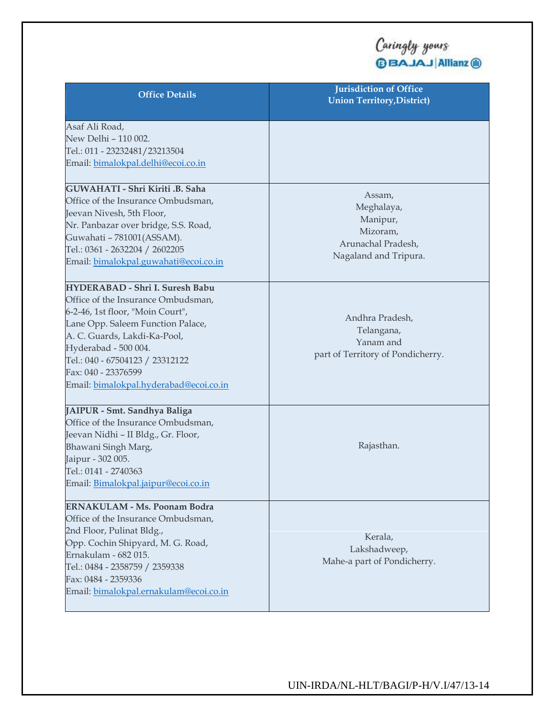| <b>Office Details</b>                                                                                                                                                                                                                                                                                             | <b>Jurisdiction of Office</b><br><b>Union Territory, District)</b>                          |
|-------------------------------------------------------------------------------------------------------------------------------------------------------------------------------------------------------------------------------------------------------------------------------------------------------------------|---------------------------------------------------------------------------------------------|
| Asaf Ali Road,<br>New Delhi - 110 002.<br>Tel.: 011 - 23232481/23213504<br>Email: bimalokpal.delhi@ecoi.co.in                                                                                                                                                                                                     |                                                                                             |
| GUWAHATI - Shri Kiriti .B. Saha<br>Office of the Insurance Ombudsman,<br>Jeevan Nivesh, 5th Floor,<br>Nr. Panbazar over bridge, S.S. Road,<br>Guwahati - 781001(ASSAM).<br>Tel.: 0361 - 2632204 / 2602205<br>Email: bimalokpal.guwahati@ecoi.co.in                                                                | Assam,<br>Meghalaya,<br>Manipur,<br>Mizoram,<br>Arunachal Pradesh,<br>Nagaland and Tripura. |
| <b>HYDERABAD - Shri I. Suresh Babu</b><br>Office of the Insurance Ombudsman,<br>6-2-46, 1st floor, "Moin Court",<br>Lane Opp. Saleem Function Palace,<br>A. C. Guards, Lakdi-Ka-Pool,<br>Hyderabad - 500 004.<br>Tel.: 040 - 67504123 / 23312122<br>Fax: 040 - 23376599<br>Email: bimalokpal.hyderabad@ecoi.co.in | Andhra Pradesh,<br>Telangana,<br>Yanam and<br>part of Territory of Pondicherry.             |
| JAIPUR - Smt. Sandhya Baliga<br>Office of the Insurance Ombudsman,<br>Jeevan Nidhi - II Bldg., Gr. Floor,<br>Bhawani Singh Marg,<br>Jaipur - 302 005.<br>Tel.: 0141 - 2740363<br>Email: Bimalokpal.jaipur@ecoi.co.in                                                                                              | Rajasthan.                                                                                  |
| <b>ERNAKULAM - Ms. Poonam Bodra</b><br>Office of the Insurance Ombudsman,<br>2nd Floor, Pulinat Bldg.,<br>Opp. Cochin Shipyard, M. G. Road,<br>Ernakulam - 682 015.<br>Tel.: 0484 - 2358759 / 2359338<br>Fax: 0484 - 2359336<br>Email: bimalokpal.ernakulam@ecoi.co.in                                            | Kerala,<br>Lakshadweep,<br>Mahe-a part of Pondicherry.                                      |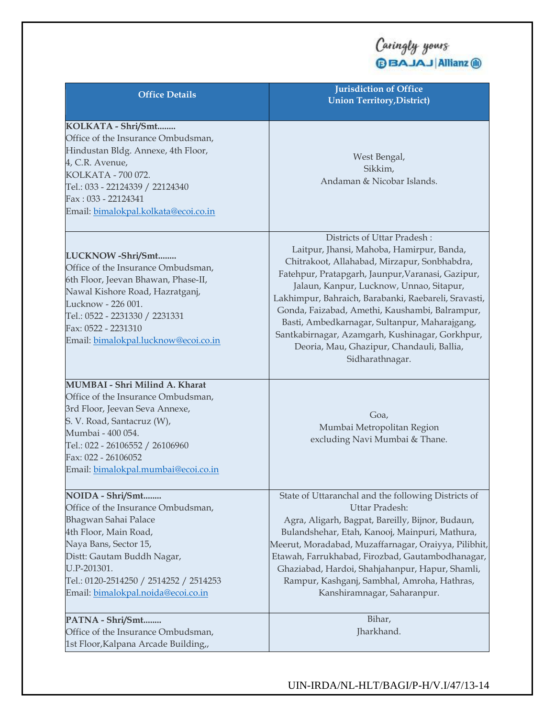| <b>Office Details</b>                                                                                                                                                                                                                                         | <b>Jurisdiction of Office</b><br><b>Union Territory, District)</b>                                                                                                                                                                                                                                                                                                                                                                                                                                      |
|---------------------------------------------------------------------------------------------------------------------------------------------------------------------------------------------------------------------------------------------------------------|---------------------------------------------------------------------------------------------------------------------------------------------------------------------------------------------------------------------------------------------------------------------------------------------------------------------------------------------------------------------------------------------------------------------------------------------------------------------------------------------------------|
| KOLKATA - Shri/Smt<br>Office of the Insurance Ombudsman,<br>Hindustan Bldg. Annexe, 4th Floor,<br>4, C.R. Avenue,<br>KOLKATA - 700 072.<br>Tel.: 033 - 22124339 / 22124340<br>Fax: 033 - 22124341<br>Email: bimalokpal.kolkata@ecoi.co.in                     | West Bengal,<br>Sikkim,<br>Andaman & Nicobar Islands.                                                                                                                                                                                                                                                                                                                                                                                                                                                   |
| LUCKNOW-Shri/Smt<br>Office of the Insurance Ombudsman,<br>6th Floor, Jeevan Bhawan, Phase-II,<br>Nawal Kishore Road, Hazratganj,<br>Lucknow - 226 001.<br>Tel.: 0522 - 2231330 / 2231331<br>Fax: 0522 - 2231310<br>Email: bimalokpal.lucknow@ecoi.co.in       | Districts of Uttar Pradesh:<br>Laitpur, Jhansi, Mahoba, Hamirpur, Banda,<br>Chitrakoot, Allahabad, Mirzapur, Sonbhabdra,<br>Fatehpur, Pratapgarh, Jaunpur, Varanasi, Gazipur,<br>Jalaun, Kanpur, Lucknow, Unnao, Sitapur,<br>Lakhimpur, Bahraich, Barabanki, Raebareli, Sravasti,<br>Gonda, Faizabad, Amethi, Kaushambi, Balrampur,<br>Basti, Ambedkarnagar, Sultanpur, Maharajgang,<br>Santkabirnagar, Azamgarh, Kushinagar, Gorkhpur,<br>Deoria, Mau, Ghazipur, Chandauli, Ballia,<br>Sidharathnagar. |
| MUMBAI - Shri Milind A. Kharat<br>Office of the Insurance Ombudsman,<br>3rd Floor, Jeevan Seva Annexe,<br>S. V. Road, Santacruz (W),<br>Mumbai - 400 054.<br>Tel.: 022 - 26106552 / 26106960<br>Fax: 022 - 26106052<br>Email: bimalokpal.mumbai@ecoi.co.in    | Goa,<br>Mumbai Metropolitan Region<br>excluding Navi Mumbai & Thane.                                                                                                                                                                                                                                                                                                                                                                                                                                    |
| NOIDA - Shri/Smt<br>Office of the Insurance Ombudsman,<br>Bhagwan Sahai Palace<br>4th Floor, Main Road,<br>Naya Bans, Sector 15,<br>Distt: Gautam Buddh Nagar,<br>U.P-201301.<br>Tel.: 0120-2514250 / 2514252 / 2514253<br>Email: bimalokpal.noida@ecoi.co.in | State of Uttaranchal and the following Districts of<br>Uttar Pradesh:<br>Agra, Aligarh, Bagpat, Bareilly, Bijnor, Budaun,<br>Bulandshehar, Etah, Kanooj, Mainpuri, Mathura,<br>Meerut, Moradabad, Muzaffarnagar, Oraiyya, Pilibhit,<br>Etawah, Farrukhabad, Firozbad, Gautambodhanagar,<br>Ghaziabad, Hardoi, Shahjahanpur, Hapur, Shamli,<br>Rampur, Kashganj, Sambhal, Amroha, Hathras,<br>Kanshiramnagar, Saharanpur.                                                                                |
| PATNA - Shri/Smt<br>Office of the Insurance Ombudsman,<br>1st Floor, Kalpana Arcade Building,,                                                                                                                                                                | Bihar,<br>Jharkhand.                                                                                                                                                                                                                                                                                                                                                                                                                                                                                    |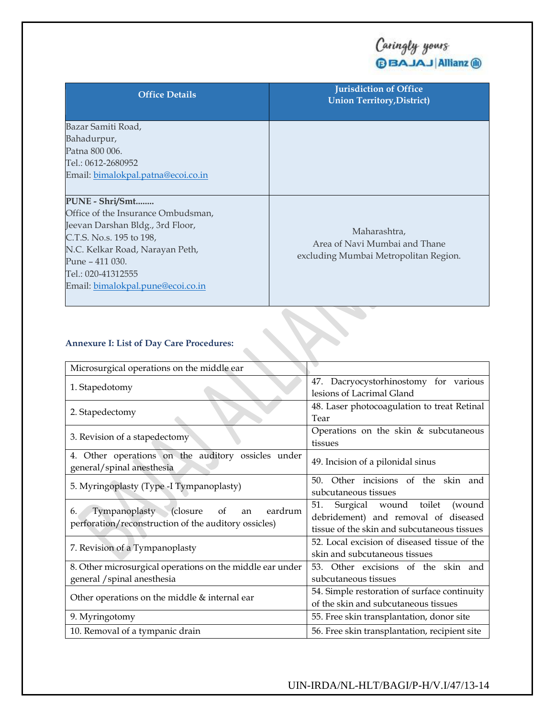| <b>Office Details</b>                                                                                                                                                                                                                  | <b>Jurisdiction of Office</b><br><b>Union Territory, District)</b>                     |
|----------------------------------------------------------------------------------------------------------------------------------------------------------------------------------------------------------------------------------------|----------------------------------------------------------------------------------------|
| Bazar Samiti Road,<br>Bahadurpur,<br>Patna 800 006.<br>Tel.: 0612-2680952<br>Email: bimalokpal.patna@ecoi.co.in                                                                                                                        |                                                                                        |
| PUNE - Shri/Smt<br>Office of the Insurance Ombudsman,<br>Jeevan Darshan Bldg., 3rd Floor,<br>C.T.S. No.s. 195 to 198,<br>N.C. Kelkar Road, Narayan Peth,<br>Pune – 411 030.<br>Tel.: 020-41312555<br>Email: bimalokpal.pune@ecoi.co.in | Maharashtra,<br>Area of Navi Mumbai and Thane<br>excluding Mumbai Metropolitan Region. |

## **Annexure I: List of Day Care Procedures:**

| Alliexule I. List of Day Cale I focedules.                                                                  |                                                                                                                               |
|-------------------------------------------------------------------------------------------------------------|-------------------------------------------------------------------------------------------------------------------------------|
| Microsurgical operations on the middle ear                                                                  |                                                                                                                               |
| 1. Stapedotomy                                                                                              | 47. Dacryocystorhinostomy for various<br>lesions of Lacrimal Gland                                                            |
| 2. Stapedectomy                                                                                             | 48. Laser photocoagulation to treat Retinal<br>Tear                                                                           |
| 3. Revision of a stapedectomy                                                                               | Operations on the skin $&$ subcutaneous<br>tissues                                                                            |
| 4. Other operations on the auditory ossicles under<br>general/spinal anesthesia                             | 49. Incision of a pilonidal sinus                                                                                             |
| 5. Myringoplasty (Type -I Tympanoplasty)                                                                    | Other incisions of the skin and<br>50 <sub>1</sub><br>subcutaneous tissues                                                    |
| Tympanoplasty (closure<br>eardrum<br>of<br>6.<br>an<br>perforation/reconstruction of the auditory ossicles) | Surgical wound toilet<br>51.<br>(wound<br>debridement) and removal of diseased<br>tissue of the skin and subcutaneous tissues |
| 7. Revision of a Tympanoplasty                                                                              | 52. Local excision of diseased tissue of the<br>skin and subcutaneous tissues                                                 |
| 8. Other microsurgical operations on the middle ear under<br>general / spinal anesthesia                    | 53. Other excisions of the skin and<br>subcutaneous tissues                                                                   |
| Other operations on the middle & internal ear                                                               | 54. Simple restoration of surface continuity<br>of the skin and subcutaneous tissues                                          |
| 9. Myringotomy                                                                                              | 55. Free skin transplantation, donor site                                                                                     |
| 10. Removal of a tympanic drain                                                                             | 56. Free skin transplantation, recipient site                                                                                 |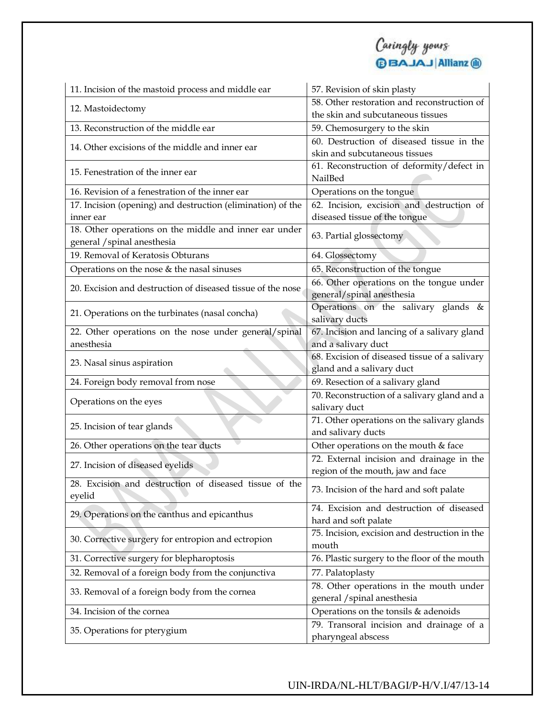| 11. Incision of the mastoid process and middle ear          | 57. Revision of skin plasty                                   |
|-------------------------------------------------------------|---------------------------------------------------------------|
| 12. Mastoidectomy                                           | 58. Other restoration and reconstruction of                   |
|                                                             | the skin and subcutaneous tissues                             |
| 13. Reconstruction of the middle ear                        | 59. Chemosurgery to the skin                                  |
| 14. Other excisions of the middle and inner ear             | 60. Destruction of diseased tissue in the                     |
|                                                             | skin and subcutaneous tissues                                 |
| 15. Fenestration of the inner ear                           | 61. Reconstruction of deformity/defect in                     |
|                                                             | NailBed                                                       |
| 16. Revision of a fenestration of the inner ear             | Operations on the tongue                                      |
| 17. Incision (opening) and destruction (elimination) of the | 62. Incision, excision and destruction of                     |
| inner ear                                                   | diseased tissue of the tongue                                 |
| 18. Other operations on the middle and inner ear under      | 63. Partial glossectomy                                       |
| general / spinal anesthesia                                 |                                                               |
| 19. Removal of Keratosis Obturans                           | 64. Glossectomy                                               |
| Operations on the nose & the nasal sinuses                  | 65. Reconstruction of the tongue                              |
| 20. Excision and destruction of diseased tissue of the nose | 66. Other operations on the tongue under                      |
|                                                             | general/spinal anesthesia                                     |
| 21. Operations on the turbinates (nasal concha)             | Operations on the salivary glands &                           |
|                                                             | salivary ducts                                                |
| 22. Other operations on the nose under general/spinal       | 67. Incision and lancing of a salivary gland                  |
| anesthesia                                                  | and a salivary duct                                           |
| 23. Nasal sinus aspiration                                  | 68. Excision of diseased tissue of a salivary                 |
|                                                             | gland and a salivary duct                                     |
| 24. Foreign body removal from nose                          | 69. Resection of a salivary gland                             |
| Operations on the eyes                                      | 70. Reconstruction of a salivary gland and a<br>salivary duct |
|                                                             | 71. Other operations on the salivary glands                   |
| 25. Incision of tear glands                                 | and salivary ducts                                            |
| 26. Other operations on the tear ducts                      | Other operations on the mouth & face                          |
|                                                             | 72. External incision and drainage in the                     |
| 27. Incision of diseased eyelids                            | region of the mouth, jaw and face                             |
| 28. Excision and destruction of diseased tissue of the      |                                                               |
| eyelid                                                      | 73. Incision of the hard and soft palate                      |
|                                                             | 74. Excision and destruction of diseased                      |
| 29. Operations on the canthus and epicanthus                | hard and soft palate                                          |
| 30. Corrective surgery for entropion and ectropion          | 75. Incision, excision and destruction in the                 |
|                                                             | mouth                                                         |
| 31. Corrective surgery for blepharoptosis                   | 76. Plastic surgery to the floor of the mouth                 |
| 32. Removal of a foreign body from the conjunctiva          | 77. Palatoplasty                                              |
|                                                             | 78. Other operations in the mouth under                       |
| 33. Removal of a foreign body from the cornea               | general / spinal anesthesia                                   |
| 34. Incision of the cornea                                  | Operations on the tonsils & adenoids                          |
|                                                             | 79. Transoral incision and drainage of a                      |
| 35. Operations for pterygium                                | pharyngeal abscess                                            |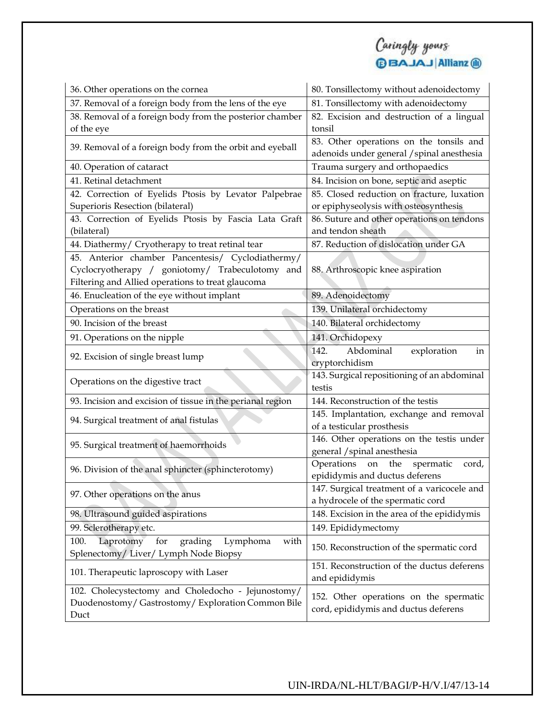

| 36. Other operations on the cornea                                                                   | 80. Tonsillectomy without adenoidectomy                                               |
|------------------------------------------------------------------------------------------------------|---------------------------------------------------------------------------------------|
| 37. Removal of a foreign body from the lens of the eye                                               | 81. Tonsillectomy with adenoidectomy                                                  |
| 38. Removal of a foreign body from the posterior chamber                                             | 82. Excision and destruction of a lingual                                             |
| of the eye                                                                                           | tonsil                                                                                |
| 39. Removal of a foreign body from the orbit and eyeball                                             | 83. Other operations on the tonsils and<br>adenoids under general / spinal anesthesia |
| 40. Operation of cataract                                                                            | Trauma surgery and orthopaedics                                                       |
| 41. Retinal detachment                                                                               | 84. Incision on bone, septic and aseptic                                              |
| 42. Correction of Eyelids Ptosis by Levator Palpebrae                                                | 85. Closed reduction on fracture, luxation                                            |
| Superioris Resection (bilateral)                                                                     | or epiphyseolysis with osteosynthesis                                                 |
| 43. Correction of Eyelids Ptosis by Fascia Lata Graft                                                | 86. Suture and other operations on tendons                                            |
| (bilateral)                                                                                          | and tendon sheath                                                                     |
| 44. Diathermy/ Cryotherapy to treat retinal tear                                                     | 87. Reduction of dislocation under GA                                                 |
| 45. Anterior chamber Pancentesis/ Cyclodiathermy/                                                    |                                                                                       |
| Cyclocryotherapy / goniotomy/ Trabeculotomy and<br>Filtering and Allied operations to treat glaucoma | 88. Arthroscopic knee aspiration                                                      |
| 46. Enucleation of the eye without implant                                                           | 89. Adenoidectomy                                                                     |
| Operations on the breast                                                                             | 139. Unilateral orchidectomy                                                          |
| 90. Incision of the breast                                                                           | 140. Bilateral orchidectomy                                                           |
|                                                                                                      |                                                                                       |
| 91. Operations on the nipple                                                                         | 141. Orchidopexy<br>Abdominal<br>142.                                                 |
| 92. Excision of single breast lump                                                                   | exploration<br>in<br>cryptorchidism                                                   |
|                                                                                                      | 143. Surgical repositioning of an abdominal                                           |
| Operations on the digestive tract                                                                    | testis                                                                                |
| 93. Incision and excision of tissue in the perianal region                                           | 144. Reconstruction of the testis                                                     |
|                                                                                                      | 145. Implantation, exchange and removal                                               |
| 94. Surgical treatment of anal fistulas                                                              | of a testicular prosthesis                                                            |
| 95. Surgical treatment of haemorrhoids                                                               | 146. Other operations on the testis under                                             |
|                                                                                                      | general / spinal anesthesia                                                           |
| 96. Division of the anal sphincter (sphincterotomy)                                                  | Operations<br>the<br>spermatic<br>on<br>cord,                                         |
|                                                                                                      | epididymis and ductus deferens                                                        |
| 97. Other operations on the anus                                                                     | 147. Surgical treatment of a varicocele and                                           |
|                                                                                                      | a hydrocele of the spermatic cord                                                     |
| 98. Ultrasound guided aspirations                                                                    | 148. Excision in the area of the epididymis                                           |
| 99. Sclerotherapy etc.                                                                               | 149. Epididymectomy                                                                   |
| Laprotomy<br>grading<br>100.<br>for<br>Lymphoma<br>with<br>Splenectomy/Liver/Lymph Node Biopsy       | 150. Reconstruction of the spermatic cord                                             |
| 101. Therapeutic laproscopy with Laser                                                               | 151. Reconstruction of the ductus deferens<br>and epididymis                          |
| 102. Cholecystectomy and Choledocho - Jejunostomy/                                                   |                                                                                       |
| Duodenostomy/Gastrostomy/Exploration Common Bile                                                     | 152. Other operations on the spermatic                                                |
| Duct                                                                                                 | cord, epididymis and ductus deferens                                                  |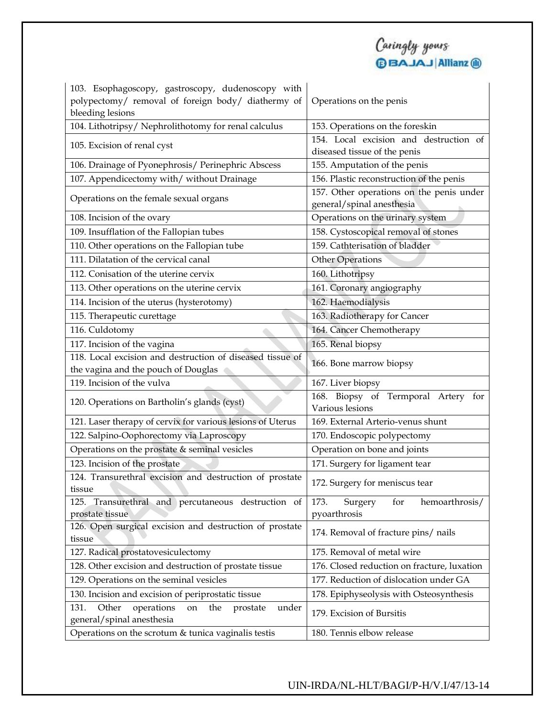| Caringly yours          |
|-------------------------|
| <b>BBAJAJ Allianz ®</b> |

| 103. Esophagoscopy, gastroscopy, dudenoscopy with                                                     |                                                                       |  |
|-------------------------------------------------------------------------------------------------------|-----------------------------------------------------------------------|--|
| polypectomy/ removal of foreign body/ diathermy of                                                    | Operations on the penis                                               |  |
| bleeding lesions                                                                                      |                                                                       |  |
| 104. Lithotripsy/ Nephrolithotomy for renal calculus                                                  | 153. Operations on the foreskin                                       |  |
| 105. Excision of renal cyst                                                                           | 154. Local excision and destruction of                                |  |
|                                                                                                       | diseased tissue of the penis                                          |  |
| 106. Drainage of Pyonephrosis/ Perinephric Abscess                                                    | 155. Amputation of the penis                                          |  |
| 107. Appendicectomy with/ without Drainage                                                            | 156. Plastic reconstruction of the penis                              |  |
| Operations on the female sexual organs                                                                | 157. Other operations on the penis under<br>general/spinal anesthesia |  |
| 108. Incision of the ovary                                                                            | Operations on the urinary system                                      |  |
| 109. Insufflation of the Fallopian tubes                                                              | 158. Cystoscopical removal of stones                                  |  |
| 110. Other operations on the Fallopian tube                                                           | 159. Cathterisation of bladder                                        |  |
| 111. Dilatation of the cervical canal                                                                 | <b>Other Operations</b>                                               |  |
| 112. Conisation of the uterine cervix                                                                 | 160. Lithotripsy                                                      |  |
| 113. Other operations on the uterine cervix                                                           | 161. Coronary angiography                                             |  |
| 114. Incision of the uterus (hysterotomy)                                                             | 162. Haemodialysis                                                    |  |
| 115. Therapeutic curettage<br>163. Radiotherapy for Cancer                                            |                                                                       |  |
| 164. Cancer Chemotherapy<br>116. Culdotomy                                                            |                                                                       |  |
| 117. Incision of the vagina<br>165. Renal biopsy                                                      |                                                                       |  |
| 118. Local excision and destruction of diseased tissue of                                             | 166. Bone marrow biopsy                                               |  |
| the vagina and the pouch of Douglas                                                                   |                                                                       |  |
| 119. Incision of the vulva<br>167. Liver biopsy                                                       |                                                                       |  |
| 120. Operations on Bartholin's glands (cyst)                                                          | 168. Biopsy of Termporal Artery for                                   |  |
|                                                                                                       | Various lesions                                                       |  |
| 121. Laser therapy of cervix for various lesions of Uterus                                            | 169. External Arterio-venus shunt                                     |  |
| 122. Salpino-Oophorectomy via Laproscopy<br>170. Endoscopic polypectomy                               |                                                                       |  |
| Operations on the prostate & seminal vesicles<br>Operation on bone and joints                         |                                                                       |  |
| 123. Incision of the prostate                                                                         | 171. Surgery for ligament tear                                        |  |
| 124. Transurethral excision and destruction of prostate<br>tissue                                     | 172. Surgery for meniscus tear                                        |  |
| 125. Transurethral and percutaneous destruction of                                                    | 173.<br>Surgery<br>for<br>hemoarthrosis/                              |  |
| prostate tissue                                                                                       | pyoarthrosis                                                          |  |
| 126. Open surgical excision and destruction of prostate<br>tissue                                     | 174. Removal of fracture pins/ nails                                  |  |
| 175. Removal of metal wire<br>127. Radical prostatovesiculectomy                                      |                                                                       |  |
| 128. Other excision and destruction of prostate tissue<br>176. Closed reduction on fracture, luxation |                                                                       |  |
| 129. Operations on the seminal vesicles                                                               | 177. Reduction of dislocation under GA                                |  |
| 130. Incision and excision of periprostatic tissue                                                    | 178. Epiphyseolysis with Osteosynthesis                               |  |
| Other<br>operations<br>the<br>on<br>under<br>131.<br>prostate<br>general/spinal anesthesia            | 179. Excision of Bursitis                                             |  |
| Operations on the scrotum & tunica vaginalis testis                                                   | 180. Tennis elbow release                                             |  |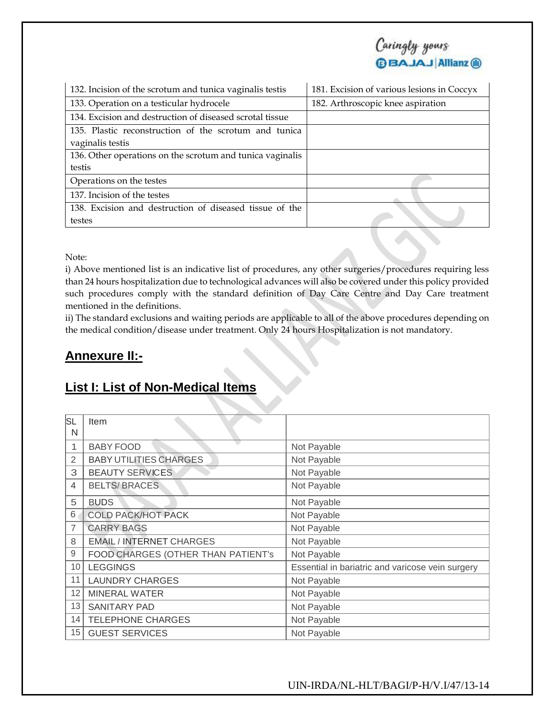

| 132. Incision of the scrotum and tunica vaginalis testis  | 181. Excision of various lesions in Coccyx |  |
|-----------------------------------------------------------|--------------------------------------------|--|
| 133. Operation on a testicular hydrocele                  | 182. Arthroscopic knee aspiration          |  |
| 134. Excision and destruction of diseased scrotal tissue  |                                            |  |
| 135. Plastic reconstruction of the scrotum and tunica     |                                            |  |
| vaginalis testis                                          |                                            |  |
| 136. Other operations on the scrotum and tunica vaginalis |                                            |  |
| testis                                                    |                                            |  |
| Operations on the testes                                  |                                            |  |
| 137. Incision of the testes                               |                                            |  |
| 138. Excision and destruction of diseased tissue of the   |                                            |  |
| testes                                                    |                                            |  |

Note:

i) Above mentioned list is an indicative list of procedures, any other surgeries/procedures requiring less than 24 hours hospitalization due to technological advances will also be covered under this policy provided such procedures comply with the standard definition of Day Care Centre and Day Care treatment mentioned in the definitions.

ii) The standard exclusions and waiting periods are applicable to all of the above procedures depending on the medical condition/disease under treatment. Only 24 hours Hospitalization is not mandatory.

## **Annexure II:-**

## **List I: List of Non-Medical Items**

| lsl | Item                               |                                                  |
|-----|------------------------------------|--------------------------------------------------|
| N   |                                    |                                                  |
|     | <b>BABY FOOD</b>                   | Not Payable                                      |
| 2   | <b>BABY UTILITIES CHARGES</b>      | Not Payable                                      |
| 3   | <b>BEAUTY SERVICES</b>             | Not Payable                                      |
| 4   | <b>BELTS/BRACES</b>                | Not Payable                                      |
| 5   | <b>BUDS</b>                        | Not Payable                                      |
| 6   | <b>COLD PACK/HOT PACK</b>          | Not Payable                                      |
| 7   | <b>CARRY BAGS</b>                  | Not Payable                                      |
| 8   | <b>EMAIL / INTERNET CHARGES</b>    | Not Payable                                      |
| 9   | FOOD CHARGES (OTHER THAN PATIENT's | Not Payable                                      |
| 10  | <b>LEGGINGS</b>                    | Essential in bariatric and varicose vein surgery |
| 11  | <b>LAUNDRY CHARGES</b>             | Not Payable                                      |
| 12  | <b>MINERAL WATER</b>               | Not Payable                                      |
| 13  | <b>SANITARY PAD</b>                | Not Payable                                      |
| 14  | <b>TELEPHONE CHARGES</b>           | Not Payable                                      |
| 15  | <b>GUEST SERVICES</b>              | Not Payable                                      |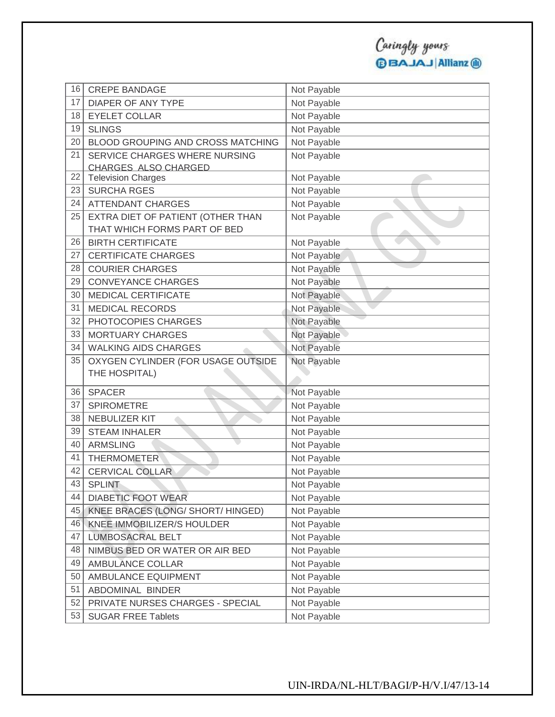| 16 | <b>CREPE BANDAGE</b>               | Not Payable |
|----|------------------------------------|-------------|
| 17 | <b>DIAPER OF ANY TYPE</b>          | Not Payable |
| 18 | <b>EYELET COLLAR</b>               | Not Payable |
| 19 | <b>SLINGS</b>                      | Not Payable |
| 20 | BLOOD GROUPING AND CROSS MATCHING  | Not Payable |
| 21 | SERVICE CHARGES WHERE NURSING      | Not Payable |
|    | CHARGES ALSO CHARGED               |             |
| 22 | <b>Television Charges</b>          | Not Payable |
| 23 | <b>SURCHA RGES</b>                 | Not Payable |
| 24 | <b>ATTENDANT CHARGES</b>           | Not Payable |
| 25 | EXTRA DIET OF PATIENT (OTHER THAN  | Not Payable |
|    | THAT WHICH FORMS PART OF BED       |             |
| 26 | <b>BIRTH CERTIFICATE</b>           | Not Payable |
| 27 | <b>CERTIFICATE CHARGES</b>         | Not Payable |
| 28 | <b>COURIER CHARGES</b>             | Not Payable |
| 29 | <b>CONVEYANCE CHARGES</b>          | Not Payable |
| 30 | <b>MEDICAL CERTIFICATE</b>         | Not Payable |
| 31 | <b>MEDICAL RECORDS</b>             | Not Payable |
| 32 | PHOTOCOPIES CHARGES                | Not Payable |
| 33 | <b>MORTUARY CHARGES</b>            | Not Payable |
| 34 | <b>WALKING AIDS CHARGES</b>        | Not Payable |
| 35 | OXYGEN CYLINDER (FOR USAGE OUTSIDE | Not Payable |
|    | THE HOSPITAL)                      |             |
| 36 | <b>SPACER</b>                      | Not Payable |
| 37 | <b>SPIROMETRE</b>                  | Not Payable |
| 38 | NEBULIZER KIT                      | Not Payable |
| 39 | <b>STEAM INHALER</b>               | Not Payable |
| 40 | <b>ARMSLING</b>                    | Not Payable |
| 41 | <b>THERMOMETER</b>                 | Not Payable |
| 42 | <b>CERVICAL COLLAR</b>             | Not Payable |
| 43 | <b>SPLINT</b>                      | Not Payable |
| 44 | <b>DIABETIC FOOT WEAR</b>          | Not Payable |
| 45 | KNEE BRACES (LONG/ SHORT/ HINGED)  | Not Payable |
| 46 | KNEE IMMOBILIZER/S HOULDER         | Not Payable |
| 47 | <b>LUMBOSACRAL BELT</b>            | Not Payable |
| 48 | NIMBUS BED OR WATER OR AIR BED     | Not Payable |
| 49 | AMBULANCE COLLAR                   | Not Payable |
| 50 | AMBULANCE EQUIPMENT                | Not Payable |
| 51 |                                    | Not Payable |
|    | ABDOMINAL BINDER                   |             |
| 52 | PRIVATE NURSES CHARGES - SPECIAL   | Not Payable |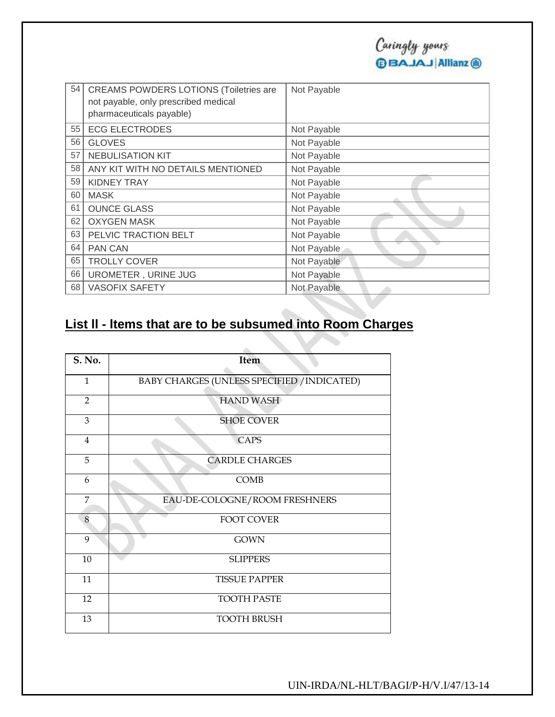| 54 | <b>CREAMS POWDERS LOTIONS (Toiletries are</b><br>not payable, only prescribed medical<br>pharmaceuticals payable) | Not Payable |
|----|-------------------------------------------------------------------------------------------------------------------|-------------|
| 55 | <b>ECG ELECTRODES</b>                                                                                             | Not Payable |
| 56 | <b>GLOVES</b>                                                                                                     | Not Payable |
| 57 | <b>NEBULISATION KIT</b>                                                                                           | Not Payable |
| 58 | ANY KIT WITH NO DETAILS MENTIONED                                                                                 | Not Payable |
| 59 | <b>KIDNEY TRAY</b>                                                                                                | Not Payable |
| 60 | <b>MASK</b>                                                                                                       | Not Payable |
| 61 | <b>OUNCE GLASS</b>                                                                                                | Not Payable |
| 62 | <b>OXYGEN MASK</b>                                                                                                | Not Payable |
| 63 | PELVIC TRACTION BELT                                                                                              | Not Payable |
| 64 | <b>PAN CAN</b>                                                                                                    | Not Payable |
| 65 | <b>TROLLY COVER</b>                                                                                               | Not Payable |
| 66 | UROMETER, URINE JUG                                                                                               | Not Payable |
| 68 | <b>VASOFIX SAFETY</b>                                                                                             | Not Payable |

# **List ll - ltems that are to be subsumed into Room Charges**

| S. No.         | Item                                        |
|----------------|---------------------------------------------|
| 1              | BABY CHARGES (UNLESS SPECIFIED / INDICATED) |
| $\overline{2}$ | <b>HAND WASH</b>                            |
| 3              | <b>SHOE COVER</b>                           |
| $\overline{4}$ | <b>CAPS</b>                                 |
| 5              | <b>CARDLE CHARGES</b>                       |
| 6              | <b>COMB</b>                                 |
| $\overline{7}$ | EAU-DE-COLOGNE/ROOM FRESHNERS               |
| 8              | <b>FOOT COVER</b>                           |
| 9              | <b>GOWN</b>                                 |
| 10             | <b>SLIPPERS</b>                             |
| 11             | <b>TISSUE PAPPER</b>                        |
| 12             | <b>TOOTH PASTE</b>                          |
| 13             | <b>TOOTH BRUSH</b>                          |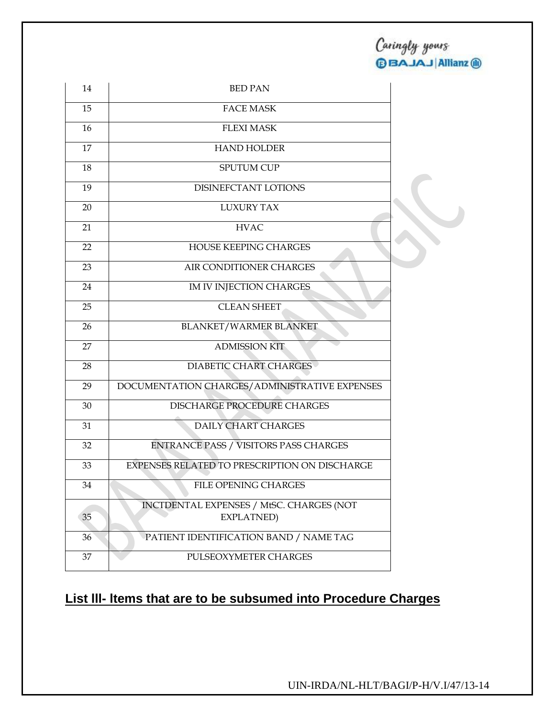| 14 | <b>BED PAN</b>                                         |  |
|----|--------------------------------------------------------|--|
| 15 | <b>FACE MASK</b>                                       |  |
| 16 | <b>FLEXI MASK</b>                                      |  |
| 17 | <b>HAND HOLDER</b>                                     |  |
| 18 | SPUTUM CUP                                             |  |
| 19 | DISINEFCTANT LOTIONS                                   |  |
| 20 | <b>LUXURY TAX</b>                                      |  |
| 21 | <b>HVAC</b>                                            |  |
| 22 | HOUSE KEEPING CHARGES                                  |  |
| 23 | AIR CONDITIONER CHARGES                                |  |
| 24 | IM IV INJECTION CHARGES                                |  |
| 25 | <b>CLEAN SHEET</b>                                     |  |
| 26 | <b>BLANKET/WARMER BLANKET</b>                          |  |
| 27 | <b>ADMISSION KIT</b>                                   |  |
| 28 | <b>DIABETIC CHART CHARGES</b>                          |  |
| 29 | DOCUMENTATION CHARGES/ADMINISTRATIVE EXPENSES          |  |
| 30 | DISCHARGE PROCEDURE CHARGES                            |  |
| 31 | <b>DAILY CHART CHARGES</b>                             |  |
| 32 | ENTRANCE PASS / VISITORS PASS CHARGES                  |  |
| 33 | EXPENSES RELATED TO PRESCRIPTION ON DISCHARGE          |  |
| 34 | FILE OPENING CHARGES                                   |  |
| 35 | INCTDENTAL EXPENSES / MtSC. CHARGES (NOT<br>EXPLATNED) |  |
| 36 | PATIENT IDENTIFICATION BAND / NAME TAG                 |  |
| 37 | PULSEOXYMETER CHARGES                                  |  |

## **List lll- ltems that are to be subsumed into Procedure Charges**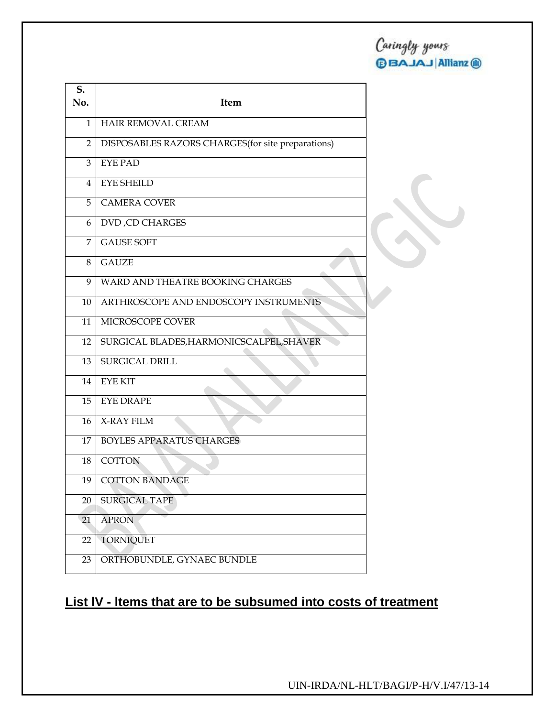| S.<br>No. | Item                                               |
|-----------|----------------------------------------------------|
| 1         | <b>HAIR REMOVAL CREAM</b>                          |
| 2         | DISPOSABLES RAZORS CHARGES (for site preparations) |
| 3         | <b>EYE PAD</b>                                     |
| 4         | <b>EYE SHEILD</b>                                  |
| 5         | <b>CAMERA COVER</b>                                |
| 6         | <b>DVD, CD CHARGES</b>                             |
| 7         | <b>GAUSE SOFT</b>                                  |
| 8         | <b>GAUZE</b>                                       |
| 9         | WARD AND THEATRE BOOKING CHARGES                   |
| 10        | ARTHROSCOPE AND ENDOSCOPY INSTRUMENTS              |
| 11        | MICROSCOPE COVER                                   |
| 12        | SURGICAL BLADES, HARMONICSCALPEL, SHAVER           |
| 13        | SURGICAL DRILL                                     |
| 14        | <b>EYE KIT</b>                                     |
| 15        | <b>EYE DRAPE</b>                                   |
| 16        | X-RAY FILM                                         |
| 17        | <b>BOYLES APPARATUS CHARGES</b>                    |
| 18        | <b>COTTON</b>                                      |
| 19        | <b>COTTON BANDAGE</b>                              |
| 20        | <b>SURGICAL TAPE</b>                               |
| 21        | <b>APRON</b>                                       |
| 22        | <b>TORNIQUET</b>                                   |
| 23        | ORTHOBUNDLE, GYNAEC BUNDLE                         |

# **List lV - ltems that are to be subsumed into costs of treatment**

UIN-IRDA/NL-HLT/BAGI/P-H/V.I/47/13-14

Caringly yours

**OBAJAJ Allianz @**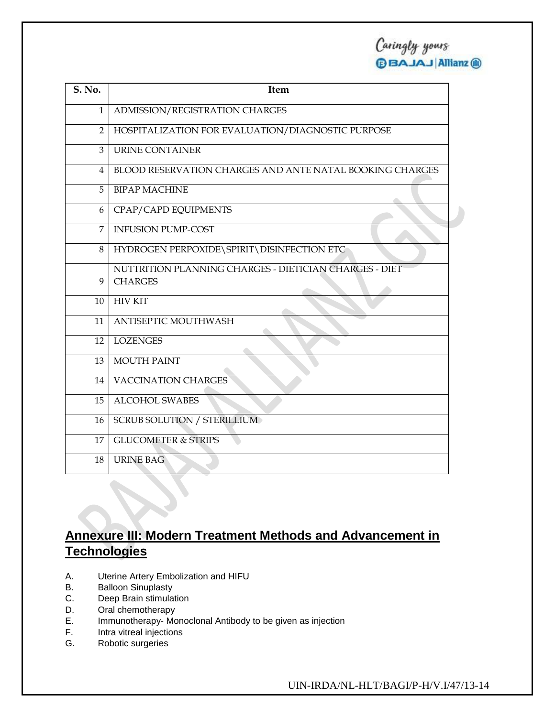Caringly yours<br>**@BAJAJ**|Allianz @

| S. No.         | Item                                                     |
|----------------|----------------------------------------------------------|
| $\mathbf{1}$   | ADMISSION/REGISTRATION CHARGES                           |
| $\overline{2}$ | HOSPITALIZATION FOR EVALUATION/DIAGNOSTIC PURPOSE        |
| 3              | <b>URINE CONTAINER</b>                                   |
| 4              | BLOOD RESERVATION CHARGES AND ANTE NATAL BOOKING CHARGES |
| 5              | <b>BIPAP MACHINE</b>                                     |
| 6              | CPAP/CAPD EQUIPMENTS                                     |
| $\overline{7}$ | <b>INFUSION PUMP-COST</b>                                |
| 8              | HYDROGEN PERPOXIDE\SPIRIT\DISINFECTION ETC               |
|                | NUTTRITION PLANNING CHARGES - DIETICIAN CHARGES - DIET   |
| 9              | <b>CHARGES</b>                                           |
| 10             | <b>HIV KIT</b>                                           |
| 11             | ANTISEPTIC MOUTHWASH                                     |
| 12             | <b>LOZENGES</b>                                          |
| 13             | <b>MOUTH PAINT</b>                                       |
| 14             | <b>VACCINATION CHARGES</b>                               |
| 15             | <b>ALCOHOL SWABES</b>                                    |
| 16             | <b>SCRUB SOLUTION / STERILLIUM</b>                       |
| 17             | <b>GLUCOMETER &amp; STRIPS</b>                           |
| 18             | <b>URINE BAG</b>                                         |

## **Annexure III: Modern Treatment Methods and Advancement in Technologies**

- A. Uterine Artery Embolization and HIFU
- B. Balloon Sinuplasty
- C. Deep Brain stimulation
- D. Oral chemotherapy
- E. Immunotherapy- Monoclonal Antibody to be given as injection
- F. Intra vitreal injections
- G. Robotic surgeries